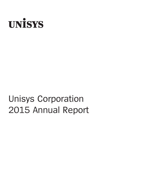

# Unisys Corporation 2015 Annual Report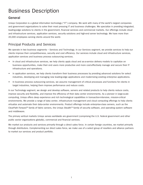# Business Description

### **General**

Unisys Corporation is a global information technology ("IT") company. We work with many of the world's largest companies and government organizations to solve their most pressing IT and business challenges. We specialize in providing integrated, leading-edge solutions to clients in the government, financial services and commercial markets. Our offerings include cloud and infrastructure services, application services, security solutions and high-end server technology. We have more than 20,000 employees serving clients around the world.

### Principal Products and Services

We operate in two business segments – Services and Technology. In our Services segment, we provide services to help our clients improve their competitiveness, security and cost efficiency. Our services include cloud and infrastructure services, application services and business process outsourcing services.

- In cloud and infrastructure services, we help clients apply cloud and as-a-service delivery models to capitalize on business opportunities, make their end users more productive and more cost-effectively manage and secure their IT infrastructure and operations.
- In application services, we help clients transform their business processes by providing advanced solutions for select industries, developing and managing new leading-edge applications and modernizing existing enterprise applications.
- In business process outsourcing services, we assume management of critical processes and functions for clients in target industries, helping them improve performance and reduce costs.

In our Technology segment, we design and develop software, servers and related products to help clients reduce costs, improve security and flexibility, and improve the efficiency of their data center environments. As a pioneer in large-scale computing, Unisys offers deep experience and rich technological capabilities in transaction-intensive, mission-critical environments. We provide a range of data center, infrastructure management and cloud computing offerings to help clients virtualize and automate their data-center environments. Product offerings include enterprise-class servers, such as the ClearPath Forward™ family of fabric servers, the Unisys Stealth™ family of security software, and operating system software and middleware.

The primary vertical markets Unisys serves worldwide are government (comprising the U.S. federal government and other public sector organizations globally), commercial and financial services.

We market our products and services primarily through a direct sales force. In certain foreign countries, we market primarily through distributors. Complementing our direct sales force, we make use of a select group of resellers and alliance partners to market our services and product portfolio.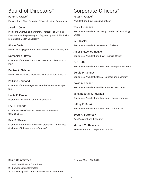# Board of Directors\*

**Peter A. Altabef** President and Chief Executive Officer of Unisys Corporation

**Jared L. Cohon** President Emeritus and University Professor of Civil and Environmental Engineering and Engineering and Public Policy at Carnegie Mellon University <sup>2</sup>

**Alison Davis** Former Managing Partner of Belvedere Capital Partners, Inc.2

**Nathaniel A. Davis** Chairman of the Board and Chief Executive Officer of K12  $Inc.<sup>3</sup>$ 

**Denise K. Fletcher** Former Executive Vice President, Finance of Vulcan Inc.<sup>1,3</sup>

#### **Philippe Germond**

Chairman of the Management Board of Europcar Groupe S.A.

**Leslie F. Kenne** Retired U.S. Air Force Lieutenant General 2,3

**Lee D. Roberts** Chief Executive Officer and President of BlueWater Consulting LLC 1, 2

**Paul E. Weaver** Chairman of the Board of Unisys Corporation. Former Vice Chairman of PricewaterhouseCoopers1

# Corporate Officers\*

**Peter A. Altabef** President and Chief Executive Officer

#### **Tarek El-Sadany**

Senior Vice President, Technology, and Chief Technology **Officer** 

**Neil Gissler** Senior Vice President, Services and Delivery

**Janet Brutschea Haugen** Senior Vice President and Chief Financial Officer

**Eric Hutto** Senior Vice President and President, Enterprise Solutions

**Gerald P. Kenney** Senior Vice President, General Counsel and Secretary

**David A. Loeser** Senior Vice President, Worldwide Human Resources

**Venkatapathi R. Puvvada** Senior Vice President and President, Federal Systems

**Jeffrey E. Renzi** Senior Vice President and President, Global Sales

**Scott A. Battersby** Vice President and Treasurer

**Michael M. Thomson** Vice President and Corporate Controller

#### **Board Committees**

\* As of March 15, 2016

- 1 Audit and Finance Committee
- 2 Compensation Committee
- 3 Nominating and Corporate Governance Committee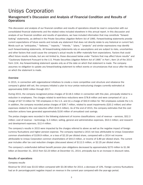### **Management's Discussion and Analysis of Financial Condition and Results of Operations**

This discussion and analysis of our financial condition and results of operations should be read in conjunction with our consolidated financial statements and the related notes included elsewhere in this annual report. In this discussion and analysis of our financial condition and results of operations, we have included information that may constitute "forwardlooking" statements, as defined in the Private Securities Litigation Reform Act of 1995. Forward-looking statements provide current expectations of future events and include any statement that does not directly relate to any historical or current fact. Words such as "anticipates," "believes," "expects," "intends," "plans," "projects" and similar expressions may identify such forward-looking statements. All forward-looking statements rely on assumptions and are subject to risks, uncertainties and other factors that could cause the company's actual results to differ materially from expectations. Factors that could affect future results include, but are not limited to, those discussed below under "Factors that may affect future results" and "Cautionary Statement Pursuant to the U.S. Private Securities Litigation Reform Act of 1995" in Part I, Item 1A of the 2015 Form 10-K. Any forward-looking statement speaks only as of the date on which that statement is made. The company assumes no obligation to update any forward-looking statement to reflect events or circumstances that occur after the date on which the statement is made.

#### **Overview**

In 2015, in connection with organizational initiatives to create a more competitive cost structure and rebalance the company's global skill set, the company initiated a plan to incur pretax restructuring charges currently estimated at approximately \$300 million through 2017.

During 2015, the company recognized pretax charges of \$118.5 million in connection with this plan, principally related to a reduction in employees. The charges related to work-force reductions were \$78.8 million and were comprised of: (a) a charge of \$27.9 million for 700 employees in the U.S. and (b) a charge of \$50.9 million for 782 employees outside the U.S. In addition, the company recorded pretax charges of \$39.7 million, related to asset impairments (\$20.2 million) and other expenses related to the cost reduction effort (\$19.5 million). As of the end of 2015, the company estimates that the cost reduction actions have generated approximately \$100 million of annualized cost savings.

The pretax charges were recorded in the following statement of income classifications: cost of revenue – services, \$52.3 million; cost of revenue – technology, \$.3 million; selling, general and administrative expenses, \$53.5 million; and research and development expenses, \$12.4 million.

The company's results in 2015 were impacted by the charges referred to above as well as the negative impact of foreign currency fluctuations and higher pension expense. The company reported a 2015 net loss attributable to Unisys Corporation common shareholders of \$109.9 million, or a loss of \$2.20 per diluted share, compared with a 2014 net income attributable to Unisys Corporation common shareholders of \$44.0 million, or income of \$.89 per diluted share. The current year includes after tax cost reduction charges (discussed above) of \$112.5 million, or \$2.25 per diluted share.

The company's underfunded defined benefit pension plan obligations decreased by approximately \$270 million to \$1.96 billion at December 31, 2015 from \$2.23 billion at December 31, 2014, principally due to an increase in discount rates.

#### **Results of operations**

#### *Company results*

Revenue for 2015 was \$3.02 billion compared with \$3.36 billion for 2014, a decrease of 10%. Foreign currency fluctuations had an 8- percentage-point negative impact on revenue in the current year compared with the year-ago period.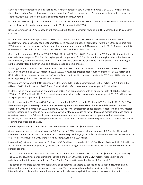Services revenue decreased 6% and Technology revenue decreased 28% in 2015 compared with 2014. Foreign currency fluctuations had an 8-percentage-point negative impact on Services revenue and a 6-percentage-point negative impact on Technology revenue in the current year compared with the year-ago period.

Revenue for 2014 was \$3.36 billion compared with 2013 revenue of \$3.46 billion, a decrease of 3%. Foreign currency had a 1-percentage-point negative impact on revenue in 2014 compared with 2013.

Services revenue in 2014 decreased by 2% compared with 2013. Technology revenue in 2014 decreased by 6% compared with 2013.

Revenue from international operations in 2015, 2014 and 2013 was \$1.56 billion, \$1.98 billion and \$2.09 billion, respectively. Foreign currency had a 12-percentage-point negative impact on international revenue in 2015 compared with 2014, and a 1-percentage-point negative impact on international revenue in 2014 compared with 2013. Revenue from U.S. operations was \$1.46 billion in 2015, \$1.38 billion in 2014 and \$1.37 billion in 2013.

Gross profit percent was 17.9% in 2015, 23.2% in 2014 and 24.5% in 2013. The decline in 2015 from 2014 was due to the cost reduction charges of \$52.6 million, higher pension expense of \$27.7 million and lower margins in both the Services and Technology segments. The decline in 2014 from 2013 was primarily attributable to a lower Services margin during 2014 as the company faced lower revenue and delivery issues on some projects.

Selling, general and administrative expenses were \$519.6 million in 2015 (17.2% of revenue), \$554.1 million in 2014 (16.5% of revenue) and \$559.4 million in 2013 (16.2% of revenue). Despite cost reduction charges of \$53.5 million and \$3.7 million higher pension expense, selling, general and administrative expenses declined in 2015 from 2014 principally reflecting savings due to the cost reduction actions.

Research and development (R&D) expenses in 2015 were \$76.4 million compared with \$68.8 million in 2014 and \$69.5 million in 2013. The increase in 2015 from 2014 principally reflects cost reduction charges of \$12.4 million.

In 2015, the company reported an operating loss of \$55.1 million compared with an operating profit of \$154.9 million in 2014 and \$219.5 million in 2013. The current year loss principally reflects cost reduction charges of \$118.5 million as well as higher pension expense of \$34.9 million.

Pension expense for 2015 was \$108.7 million compared with \$73.8 million in 2014 and \$93.5 million in 2013. For 2016, the company expects to recognize pension expense of approximately \$80 million. The expected decrease in pension expense in 2016 compared with 2015 is principally due to lower amortization of net actuarial losses. The company records pension income or expense, as well as other employee-related costs such as payroll taxes and medical insurance costs, in operating income in the following income statement categories: cost of revenue; selling, general and administrative expenses; and research and development expenses. The amount allocated to each category is based on where the salaries of active employees are charged.

Interest expense was \$11.9 million in 2015, \$9.2 million in 2014 and \$9.9 million in 2013.

Other income (expense), net was income of \$8.2 million in 2015, compared with an expense of \$.2 million 2014 and income of \$9.8 million in 2013. Included in 2015 were foreign exchange gains of \$8.1 million compared with losses in 2014 of \$7.0 million. Included in 2013 were foreign exchange gains of \$10.4 million.

Income (loss) before income taxes in 2015 was \$(58.8) million compared with \$145.5 million in 2014 and \$219.4 million in 2013. The current year loss principally reflects cost reduction charges of \$118.5 million as well as \$34.9 million of higher pension expense.

The provision for income taxes in 2015, 2014 and 2013 was \$44.4 million, \$86.2 million and \$99.3 million, respectively. The 2015 and 2013 income tax provisions include a charge of \$9.1 million and \$11.4 million, respectively, due to reductions in the UK income tax rate (see Note 7 of the Notes to Consolidated Financial Statements).

The company evaluates quarterly the realizability of its deferred tax assets by assessing its valuation allowance and by adjusting the amount of such allowance, if necessary. The company will record a tax provision or benefit for those international subsidiaries that do not have a full valuation allowance against their deferred tax assets. Any profit or loss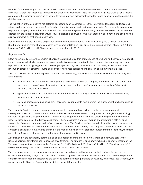recorded for the company's U.S. operations will have no provision or benefit associated with it due to its full valuation allowance, except with respect to refundable tax credits and withholding taxes not creditable against future taxable income. As a result, the company's provision or benefit for taxes may vary significantly period to period depending on the geographic distribution of income.

The realization of the company's net deferred tax assets as of December 31, 2015 is primarily dependent on forecasted future taxable income within certain foreign jurisdictions. Any reduction in estimated forecasted future taxable income may require the company to record an additional valuation allowance against the remaining deferred tax assets. Any increase or decrease in the valuation allowance would result in additional or lower income tax expense in such period and could have a significant impact on that period's earnings.

Net income attributable to Unisys Corporation common shareholders for 2015 was a loss of \$109.9 million, or a loss of \$2.20 per diluted common share, compared with income of \$44.0 million, or \$.89 per diluted common share, in 2014 and income of \$92.3 million, or \$2.08 per diluted common share, in 2013.

#### *Segment results*

Effective January 1, 2015, the company changed the grouping of certain of its classes of products and services. As a result, certain revenue (principally company technology products) previously reported in the company's Services segment is now reported in its Technology segment. As a result, prior-periods segment revenue and cost of sales, as well as customer revenue by classes of similar products and services, have been reclassified to conform to the current-year period.

The company has two business segments: Services and Technology. Revenue classifications within the Services segment are as follows:

- Cloud & infrastructure services. This represents revenue from work the company performs in the data center and cloud area, technology consulting and technology-based systems integration projects, as well as global service desks and global field services.
- Application services. This represents revenue from application managed services and application development, maintenance and support work.
- Business processing outsourcing (BPO) services. This represents revenue from the management of clients' specific business processes.

The accounting policies of each business segment are the same as those followed by the company as a whole. Intersegment sales and transfers are priced as if the sales or transfers were to third parties. Accordingly, the Technology segment recognizes intersegment revenue and manufacturing profit on hardware and software shipments to customers under Services contracts. The Services segment, in turn, recognizes customer revenue and marketing profits on such shipments of company hardware and software to customers. The Services segment also includes the sale of hardware and software products sourced from third parties that are sold to customers through the company's Services channels. In the company's consolidated statements of income, the manufacturing costs of products sourced from the Technology segment and sold to Services customers are reported in cost of revenue for Services.

Also included in the Technology segment's sales and operating profit are sales of hardware and software sold to the Services segment for internal use in Services engagements. The amount of such profit included in operating income of the Technology segment for the years ended December 31, 2015, 2014 and 2013 was \$9.2 million, \$17.0 million and \$6.0 million, respectively. The profit on these transactions is eliminated in Corporate.

The company evaluates business segment performance based on operating income exclusive of pension income or expense, restructuring charges and unusual and nonrecurring items, which are included in Corporate. All other corporate and centrally incurred costs are allocated to the business segments based principally on revenue, employees, square footage or usage. See Note 15 of the Notes to Consolidated Financial Statements.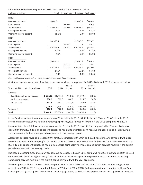Information by business segment for 2015, 2014 and 2013 is presented below:

| (millions of dollars)    | Total     | Eliminations | Services  | Technology |
|--------------------------|-----------|--------------|-----------|------------|
| 2015                     |           |              |           |            |
| Customer revenue         | \$3,015.1 |              | \$2,605.6 | \$409.5    |
| Intersegment             |           | \$(49.0)     | $\cdot$ 1 | 48.9       |
| Total revenue            | \$3,015.1 | \$(49.0)     | \$2,605.7 | \$458.4    |
| Gross profit percent     | 17.9%     |              | 15.8%     | 55.3%      |
| Operating income percent | (1.8)%    |              | 2.3%      | 24.8%      |
| 2014                     |           |              |           |            |
| Customer revenue         | \$3,356.4 |              | \$2,785.7 | \$570.7    |
| Intersegment             |           | $$$ (58.4)   | .З        | 58.1       |
| Total revenue            | \$3,356.4 | \$ (58.4)    | \$2,786.0 | \$628.8    |
| Gross profit percent     | 23.2%     |              | 17.4%     | 55.3%      |
| Operating income percent | 4.6%      |              | 3.4%      | 21.9%      |
| 2013                     |           |              |           |            |
| Customer revenue         | \$3,456.5 |              | \$2,850.0 | \$606.5    |
| Intersegment             |           | \$ (37.2)    | 1.7       | 35.5       |
| Total revenue            | \$3,456.5 | \$ (37.2)    | \$2,851.7 | \$642.0    |
| Gross profit percent     | 24.5%     |              | 19.2%     | 55.3%      |
| Operating income percent | 6.4%      |              | 4.8%      | 26.4%      |

*Gross profit percent and operating income percent are as a percent of total revenue.*

Customer revenue by classes of similar products or services, by segment, for 2015, 2014 and 2013 is presented below:

| Year ended December 31 (millions) | 2015      | 2014      | Percent<br>Change | 2013      | Percent<br>Change |
|-----------------------------------|-----------|-----------|-------------------|-----------|-------------------|
| Services                          |           |           |                   |           |                   |
| Cloud & infrastructure services   | \$1.513.1 | \$1,704.9 | $(11.2)\%$        | \$1,772.4 | (3.8)%            |
| Application services              | 868.9     | 819.8     | 6.0%              | 824.7     | $(0.6)$ %         |
| <b>BPO</b> services               | 223.6     | 261.0     | $(14.3)\%$        | 252.9     | 3.2%              |
|                                   | 2,605.6   | 2,785.7   | (6.5)%            | 2,850.0   | (2.3)%            |
| Technology                        | 409.5     | 570.7     | $(28.2)\%$        | 606.5     | (5.9)%            |
| Total                             | \$3,015.1 | \$3,356.4 | $(10.2)\%$        | \$3,456.5 | (2.9)%            |

In the Services segment, customer revenue was \$2.61 billion in 2015, \$2.79 billion in 2014 and \$2.85 billion in 2013. Foreign currency fluctuations had an 8-percentage-point negative impact on revenue in the 2015 compared with 2014.

Revenue from cloud & infrastructure services was \$1.5 billion in 2015 down 11.2% compared with 2014 and 2014 was down 3.8% from 2013. Foreign currency fluctuations had an 8-percentage-point negative impact on cloud & infrastructure services revenue in the current period compared with the year-ago period.

Application services revenue increased 6.0% for 2015 compared with 2014 and 2014 was down .6% compared with 2013. New contract wins at the company's U.S. Federal business were a major contributor to the increase in 2015 compared with 2014. Foreign currency fluctuations had a 9-percentage-point negative impact on application services revenue in the current period compared with the year-ago period.

Business processing outsourcing services revenue decreased 14.3% in 2015 compared with 2014 but was up 3.2% in 2014 compared with 2013. Foreign currency fluctuations had an 8-percentage-point negative impact on business processing outsourcing services revenue in the current period compared with the year-ago period.

Services gross profit was 15.8% in 2015 compared with 17.4% in 2014 and 19.2% in 2013. Services operating income percent was 2.3% in 2015 compared with 3.4% in 2014 and 4.8% in 2013. Both gross profit and operating profit margins were impacted by start-up costs on new multi-year engagements, as well as lower project work in existing services accounts.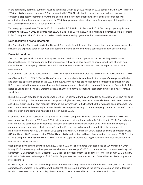In the Technology segment, customer revenue decreased 28.2% to \$409.5 million in 2015 compared with \$570.7 million in 2014 and 2014 revenue decreased 5.9% compared with 2013. The decline in revenue was due to lower sales of the company's proprietary enterprise software and servers in the current year reflecting lower software license renewal opportunities than the company experienced in 2014. Foreign currency translation had a 6-percentage-point negative impact on Technology revenue in 2015 compared with 2014.

Technology gross profit was 55.3% in 2015 compared with 55.3% in both 2014 and 2013. Technology operating income percent was 24.8% in 2015 compared with 21.9% in 2014 and 26.4% in 2013. The increase in operating profit percentage in 2015 compared with 2014 principally reflects reductions in selling, general and administrative expenses.

#### **New accounting pronouncements**

See Note 5 of the Notes to Consolidated Financial Statements for a full description of recent accounting pronouncements, including the expected dates of adoption and estimated effects on the company's consolidated financial statements.

#### **Financial condition**

The company's principal sources of liquidity are cash on hand, cash from operations and its revolving credit facility, discussed below. The company and certain international subsidiaries have access to uncommitted lines of credit from various banks. The company believes that it will have adequate sources of liquidity to meet its expected 2016 cash requirements.

Cash and cash equivalents at December 31, 2015 were \$365.2 million compared with \$494.3 million at December 31, 2014.

As of December 31, 2015, \$286.9 million of cash and cash equivalents were held by the company's foreign subsidiaries and branches operating outside of the U.S. In the future, if these funds are needed for the company's operations in the U.S., it is expected the company would be required to pay taxes on only a limited portion of this balance. See Note 7 of the Notes to Consolidated Financial Statements regarding the company's intention to indefinitely reinvest earnings of foreign subsidiaries.

During 2015, cash provided by operations was \$1.2 million compared with cash provided by operations of \$121.4 million in 2014. Contributing to the increase in cash usage was a higher net loss, lower receivable collections due to lower revenue and \$58.5 million used for cost reduction efforts in the current year. Partially offsetting the increased cash usage was lower cash contributions to the company's defined benefit pension plans. During 2015, the company contributed cash of \$148.3 million to such plans compared with \$183.4 million during 2014.

Cash used for investing activities in 2015 was \$177.9 million compared with cash used of \$195.3 million in 2014. Net proceeds of investments in 2015 were \$25.4 million compared with net proceeds of \$13.7 million in 2014. Proceeds from investments and purchases of investments represent derivative financial instruments used to manage the company's currency exposure to market risks from changes in foreign currency exchange rates. In addition, the investment in marketable software was \$62.1 million in 2015 compared with \$73.6 million in 2014, capital additions of properties were \$49.6 million in 2015 compared with \$53.3 million in 2014 and capital additions of outsourcing assets were \$102.0 million in 2015 compared with \$85.9 million in 2014. The higher capital expenditures largely reflected increased investments in new outsourcing agreements.

Cash provided by financing activities during 2015 was \$90.6 million compared with cash used of \$36.9 million in 2014. During 2015, the company had net proceeds of short-term borrowings of \$65.0 million under the company's revolving credit agreement (2.2% interest rate at December 31, 2015) and proceeds from the issuance of long-term debt of \$31.8 million. Included in 2014 was cash usage of \$35.7 million for purchases of common stock and \$4.0 million for dividends paid on preferred stock.

On March 1, 2014, all of the outstanding shares of 6.25% mandatory convertible preferred stock (2,587,400 shares) were automatically converted (in accordance with its terms) into 6,912,756 shares of the company's common stock. Because March 1, 2014 was not a business day, the mandatory conversion was effected on Monday, March 3, 2014.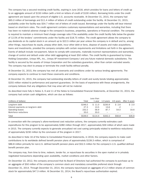The company has a secured revolving credit facility, expiring in June 2018, which provides for loans and letters of credit up to an aggregate amount of \$150 million (with a limit on letters of credit of \$100 million). Borrowing limits under the credit agreement are based upon the amount of eligible U.S. accounts receivable. At December 31, 2015, the company had \$65.0 million of borrowings and \$11.4 million of letters of credit outstanding under the facility. At December 31, 2015, availability under the facility was \$54.7 million net of letters of credit issued. Borrowings under the facility will bear interest based on short-term rates. The credit agreement contains customary representations and warranties, including that there has been no material adverse change in the company's business, properties, operations or financial condition. The company is required to maintain a minimum fixed charge coverage ratio if the availability under the credit facility falls below the greater of 12.5% of the lenders' commitments under the facility and \$18.75 million. The credit agreement allows the company to pay dividends on its capital stock in an amount up to \$22.5 million per year unless the company is in default and to, among other things, repurchase its equity, prepay other debt, incur other debt or liens, dispose of assets and make acquisitions, loans and investments, provided the company complies with certain requirements and limitations set forth in the agreement. Events of default include non-payment, failure to comply with covenants, materially incorrect representations and warranties, change of control and default under other debt aggregating at least \$50 million. The credit facility is guaranteed by Unisys Holding Corporation, Unisys NPL, Inc., Unisys AP Investment Company I and any future material domestic subsidiaries. The facility is secured by the assets of Unisys Corporation and the subsidiary guarantors, other than certain excluded assets. The company may elect to prepay or terminate the credit facility without penalty.

At December 31, 2015, the company has met all covenants and conditions under its various lending agreements. The company expects to continue to meet these covenants and conditions.

At December 31, 2015, the company had outstanding standby letters of credit and surety bonds totaling approximately \$255 million related to performance and payment guarantees. On the basis of experience with these arrangements, the company believes that any obligations that may arise will not be material.

As described more fully in Notes 3, 9 and 11 of the Notes to Consolidated Financial Statements, at December 31, 2015, the company had certain cash obligations, which are due as follows:

|                                     |         | Less than          |                          |                     |               |
|-------------------------------------|---------|--------------------|--------------------------|---------------------|---------------|
| (millions of dollars)               | Total   | 1 vear             |                          | 1-3 years 4-5 years | After 5 years |
| Long-term debt                      | \$246.5 | $S$ 11.0           | \$230.9                  | $S$ 2.6             | \$2.0         |
| Interest payments on long-term debt | 27.3    | 13.5               | 13.6                     | $\cdot$ .2          |               |
| Operating leases                    | 232.2   | 56.9               | 87.7                     | 54.0                | 33.6          |
| Work-force reductions               | 33.0    | 33.0               | $\overline{\phantom{m}}$ |                     |               |
| Total                               | \$539.0 | S <sub>114.4</sub> | \$332.2                  | \$56.8              | \$35.6        |

In connection with the company's afore-mentioned cost reduction actions, the company currently estimates cash expenditures for this program to be approximately \$280 million through 2017, approximately \$59 million of which were made in 2015. The company currently expects to generate annualized net cost saving (principally related to workforce reductions) of approximately \$230 million by the conclusion of the program in 2017.

As described in Note 16 of the Notes to Consolidated Financial Statements, in 2016, the company expects to make cash contributions to its worldwide defined benefit pension plans of approximately \$139.3 million, which is comprised of \$86.8 million primarily for non-U.S. defined benefit pension plans and \$52.5 million for the company's U.S. qualified defined benefit pension plan.

The company may, from time to time, redeem, tender for, or repurchase its securities in the open market or in privately negotiated transactions depending upon availability, market conditions and other factors.

On December 10, 2012, the company announced that its Board of Directors had authorized the company to purchase up to an aggregate of \$50 million of the company's common stock and mandatory convertible preferred stock through December 31, 2014. Through December 31, 2014, the company repurchased an aggregate of 2.2 million shares of common stock for approximately \$47.3 million. At December 31, 2014, the Board's repurchase authorization expired.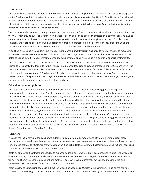#### **Market risk**

The company has exposure to interest rate risk from its short-term and long-term debt. In general, the company's long-term debt is fixed rate and, to the extent it has any, its short-term debt is variable rate. See Note 9 of the Notes to Consolidated Financial Statements for components of the company's long-term debt. The company believes that the market risk assuming a hypothetical 10% increase in interest rates would not be material to the fair value of these financial instruments, or the related cash flows, or future results of operations.

The company is also exposed to foreign currency exchange rate risks. The company is a net receiver of currencies other than the U.S. dollar and, as such, can benefit from a weaker dollar, and can be adversely affected by a stronger dollar relative to currencies worldwide. Accordingly, changes in exchange rates, and in particular a strengthening of the U.S. dollar, may adversely affect consolidated revenue and operating margins as expressed in U.S. dollars. Currency exposure gains and losses are mitigated by purchasing components and incurring expenses in local currencies.

In addition, the company uses derivative financial instruments, primarily foreign exchange forward contracts, to reduce its exposure to market risks from changes in foreign currency exchange rates on intercompany balances. See Note 12 of the Notes to Consolidated Financial Statements for additional information on the company's derivative financial instruments.

The company has performed a sensitivity analysis assuming a hypothetical 10% adverse movement in foreign currency exchange rates applied to these derivative financial instruments described above. As of December 31, 2015 and 2014, the analysis indicated that such market movements would have reduced the estimated fair value of these derivative financial instruments by approximately \$17 million and \$39 million, respectively. Based on changes in the timing and amount of interest rate and foreign currency exchange rate movements and the company's actual exposures and hedges, actual gains and losses in the future may differ from the above analysis.

#### **Critical accounting policies**

The preparation of financial statements in conformity with U.S. generally accepted accounting principles requires management to make estimates, judgments and assumptions that affect the amounts reported in the financial statements and accompanying notes. Certain accounting policies, methods and estimates are particularly important because of their significance to the financial statements and because of the possibility that future events affecting them may differ from management's current judgments. The company bases its estimates and judgments on historical experience and on other assumptions that it believes are reasonable under the circumstances; however, to the extent there are material differences between these estimates, judgments and assumptions and actual results, the financial statements will be affected. Although there are a number of accounting policies, methods and estimates affecting the company's financial statements as described in Note 1 of the Notes to Consolidated Financial Statements, the following critical accounting policies reflect the significant estimates, judgments and assumptions. The development and selection of these critical accounting policies have been determined by management of the company and the related disclosures have been reviewed with the Audit and Finance Committee of the Board of Directors.

#### *Outsourcing*

Typically, the initial terms of the company's outsourcing contracts are between 3 and 10 years. Revenue under these contracts is recognized when the company performs the services or processes transactions in accordance with contractual performance standards. Customer prepayments (even if nonrefundable) are deferred (classified as a liability) and recognized systematically as revenue over the initial contract term.

Costs on outsourcing contracts are charged to expense as incurred. However, direct costs incurred related to the inception of an outsourcing contract (principally initial customer setup) are deferred and charged to expense over the initial contract term. In addition, the costs of equipment and software, some of which are internally developed, are capitalized and depreciated over the shorter of their life or the initial contract term.

Recoverability of outsourcing assets is subject to various business risks. Quarterly, the company compares the carrying value of the outsourcing assets with the undiscounted future cash flows expected to be generated by the outsourcing assets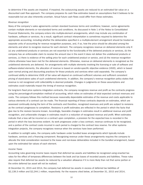to determine if the assets are impaired. If impaired, the outsourcing assets are reduced to an estimated fair value on a discounted cash flow approach. The company prepares its cash flow estimates based on assumptions that it believes to be reasonable but are also inherently uncertain. Actual future cash flows could differ from these estimates.

#### *Revenue recognition*

Many of the company's sales agreements contain standard business terms and conditions; however, some agreements contain multiple elements or non-standard terms and conditions. As discussed in Note 1 of the Notes to Consolidated Financial Statements, the company enters into multiple-element arrangements, which may include any combination of hardware, software or services. As a result, significant contract interpretation is sometimes required to determine the appropriate accounting, including whether the deliverables specified in a multiple-element arrangement should be treated as separate units of accounting for revenue recognition purposes, and, if so, how the price should be allocated among the elements and when to recognize revenue for each element. The company recognizes revenue on delivered elements only if: (a) any undelivered products or services are not essential to the functionality of the delivered products or services, (b) the company has an enforceable claim to receive the amount due in the event it does not deliver the undelivered products or services, (c) there is evidence of the selling price for each undelivered product or service, and (d) the revenue recognition criteria otherwise have been met for the delivered elements. Otherwise, revenue on delivered elements is recognized as the undelivered elements are delivered. For arrangements with multiple elements involving the licensing or sale of software and software-related elements, the allocation of revenue is based on vendor-specific objective evidence (VSOE), which is based upon normal pricing and discounting practices for those products and services when sold separately. The company's continued ability to determine VSOE of fair value will depend on continued sufficient volumes and sufficient consistent pricing of stand-alone sales of such undelivered elements. In addition, the company's revenue recognition policy states that revenue is not recognized until collectability is deemed probable. Changes in judgments on these assumptions and estimates could materially impact the timing of revenue recognition.

For long-term fixed price systems integration contracts, the company recognizes revenue and profit as the contracts progress using the percentage-of-completion method of accounting, which relies on estimates of total expected contract revenues and costs. The company follows this method because reasonably dependable estimates of the revenue and costs applicable to various elements of a contract can be made. The financial reporting of these contracts depends on estimates, which are assessed continually during the term of the contracts and therefore, recognized revenues and profit are subject to revisions as the contract progresses to completion. Revisions in profit estimates are reflected in the period in which the facts that give rise to the revision become known. Accordingly, favorable changes in estimates result in additional revenue and profit recognition, and unfavorable changes in estimates result in a reduction of recognized revenue and profit. When estimates indicate that a loss will be incurred on a contract upon completion, a provision for the expected loss is recorded in the period in which the loss becomes evident. As work progresses under a loss contract, revenue continues to be recognized, and a portion of the contract costs incurred in each period is charged to the contract loss reserve. For other systems integration projects, the company recognizes revenue when the services have been performed.

In addition to outright sales, the company sells hardware under bundled lease arrangements which typically include hardware, services and a financing component. Recognizing revenue under these arrangements requires the company to allocate the total consideration received to the lease and non-lease deliverables included in the bundled arrangement, based upon the estimated fair values of each element.

#### *Income Taxes*

Accounting rules governing income taxes require that deferred tax assets and liabilities be recognized using enacted tax rates for the effect of temporary differences between the book and tax bases of recorded assets and liabilities. These rules also require that deferred tax assets be reduced by a valuation allowance if it is more likely than not that some portion or the entire deferred tax asset will not be realized.

At December 31, 2015 and 2014, the company had deferred tax assets in excess of deferred tax liabilities of \$2,139.3 million and \$2,244.1 million, respectively. For the reasons cited below, at December 31, 2015 and 2014,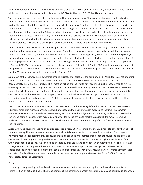management determined that it is more likely than not that \$114.4 million and \$136.3 million, respectively, of such assets will be realized, resulting in a valuation allowance of \$2,024.9 million and \$2,107.8 million, respectively.

The company evaluates the realizability of its deferred tax assets by assessing its valuation allowance and by adjusting the amount of such allowance, if necessary. The factors used to assess the likelihood of realization are the company's historical profitability, forecast of future taxable income and available tax-planning strategies that could be implemented to realize the net deferred tax assets. The company uses tax-planning strategies to realize or renew net deferred tax assets to avoid the potential loss of future tax benefits. Failure to achieve forecasted taxable income might affect the ultimate realization of the net deferred tax assets. Factors that may affect the company's ability to achieve sufficient forecasted taxable income include, but are not limited to, the following: increased competition, a decline in sales or margins, loss of market share, delays in product availability or technological obsolescence. See "Factors that may affect future results."

Internal Revenue Code Sections 382 and 383 provide annual limitations with respect to the ability of a corporation to utilize its net operating loss (as well as certain built-in losses) and tax credit carryforwards, respectively (Tax Attributes), against future U.S. taxable income, if the corporation experiences an "ownership change." In general terms, an ownership change may result from transactions increasing the ownership of certain stockholders in the stock of a corporation by more than 50 percentage points over a three-year period. The company regularly monitors ownership changes (as calculated for purposes of Section 382). The company has determined that, for purposes of the rules of Section 382 described above, an ownership change occurred in February 2011. Any future transaction or transactions and the timing of such transaction or transactions could trigger additional ownership changes under Section 382.

As a result of the February 2011 ownership change, utilization for certain of the company's Tax Attributes, U.S. net operating losses and tax credits, is subject to an overall annual limitation of \$70.6 million. The cumulative limitation as of December 31, 2015 is \$265.7 million. This limitation will be applied first to any recognized built in losses, then to any net operating losses, and then to any other Tax Attributes. Any unused limitation may be carried over to later years. Based on presently available information and the existence of tax planning strategies, the company does not expect to incur a U.S. cash tax liability in the near term. The company maintains a full valuation allowance against the realization of all U.S. deferred tax assets as well as certain foreign deferred tax assets in excess of deferred tax liabilities. See Note 7 of the Notes to Consolidated Financial Statements.

The company's provision for income taxes and the determination of the resulting deferred tax assets and liabilities involve a significant amount of management judgment and are based on the best information available at the time. The company operates within federal, state and international taxing jurisdictions and is subject to audit in these jurisdictions. These audits can involve complex issues, which may require an extended period of time to resolve. As a result, the actual income tax liabilities in the jurisdictions with respect to any fiscal year are ultimately determined long after the financial statements have been published.

Accounting rules governing income taxes also prescribe a recognition threshold and measurement attribute for the financial statement recognition and measurement of a tax position taken or expected to be taken in a tax return. The company maintains reserves for estimated tax exposures including penalties and interest. Income tax exposures include potential challenges of intercompany pricing and other tax matters. Exposures are settled primarily through the settlement of audits within these tax jurisdictions, but can also be affected by changes in applicable tax law or other factors, which could cause management of the company to believe a revision of past estimates is appropriate. Management believes that an appropriate liability has been established for estimated exposures; however, actual results may differ materially from these estimates. The liabilities are reviewed quarterly for their adequacy and appropriateness. See Note 7 of the Notes to Consolidated Financial Statements.

#### *Pensions*

Accounting rules governing defined benefit pension plans require that amounts recognized in financial statements be determined on an actuarial basis. The measurement of the company's pension obligations, costs and liabilities is dependent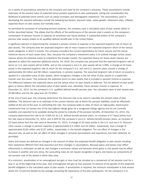on a variety of assumptions selected by the company and used by the company's actuaries. These assumptions include estimates of the present value of projected future pension payments to plan participants, taking into consideration the likelihood of potential future events such as salary increases and demographic experience. The assumptions used in developing the required estimates include the following key factors: discount rates, salary growth, retirement rates, inflation, expected return on plan assets and mortality rates.

As permitted for purposes of computing pension expense, the company uses a calculated value of plan assets (which is further described below). This allows that the effects of the performance of the pension plan's assets on the company's computation of pension income or expense be amortized over future periods. A substantial portion of the company's pension plan assets relates to its qualified defined benefit plan in the United States.

A significant element in determining the company's pension income or expense is the expected long-term rate of return on plan assets. The company sets the expected long-term rate of return based on the expected long-term return of the various asset categories in which it invests. The company considers the current expectations for future returns and the actual historical returns of each asset class. Also, because the company's investment policy is to actively manage certain asset classes where the potential exists to outperform the broader market, the expected returns for those asset classes are adjusted to reflect the expected additional returns. For 2016, the company has assumed that the expected long-term rate of return on U.S. plan assets will be 6.80%, and on the company's non-U.S. plan assets will be 5.99%. A change of 25 basis points in the expected long-term rate of return for the company's U.S. and non-U.S. pension plans causes a change of approximately \$9 million and \$6 million, respectively, in pension expense. The assumed long-term rate of return on assets is applied to a calculated value of plan assets, which recognizes changes in the fair value of plan assets in a systematic manner over four years. This produces the expected return on plan assets that is included in pension income or expense. The difference between this expected return and the actual return on plan assets is deferred. The net deferral of past asset gains or losses affects the calculated value of plan assets and, ultimately, future pension income or expense. At December 31, 2015, for the company's U.S. qualified defined benefit pension plan, the calculated value of plan assets was \$3.88 billion and the fair value was \$3.76 billion.

At the end of each year, the company determines the discount rate to be used to calculate the present value of plan liabilities. The discount rate is an estimate of the current interest rate at which the pension liabilities could be effectively settled at the end of the year. In estimating this rate, the company looks to rates of return on high-quality, fixed-income investments that (a) receive one of the two highest ratings given by a recognized ratings agency and (b) are currently available and expected to be available during the period to maturity of the pension benefits. At December 31, 2015, the company determined this rate to be 4.56% for its U.S. defined benefit pension plans, an increase of 47 basis points from the rate used at December 31, 2014, and 3.30% for the company's non-U.S. defined benefit pension plans, an increase of 25 basis points from the rate used at December 31, 2014. A change of 25 basis points in the U.S. and non-U.S. discount rates causes a change in pension expense of approximately \$.5 million and \$3 million, respectively, and a change of approximately \$134 million and \$127 million, respectively, in the benefit obligation. The net effect of changes in the discount rate, as well as the net effect of other changes in actuarial assumptions and experience, has been deferred, as permitted.

Gains and losses are defined as changes in the amount of either the projected benefit obligation or plan assets resulting from experience different from that assumed and from changes in assumptions. Because gains and losses may reflect refinements in estimates as well as real changes in economic values and because some gains in one period may be offset by losses in another and vice versa, the accounting rules do not require recognition of gains and losses as components of net pension cost of the period in which they arise.

At a minimum, amortization of an unrecognized net gain or loss must be included as a component of net pension cost for a year if, as of the beginning of the year, that unrecognized net gain or loss exceeds 10 percent of the greater of the projected benefit obligation or the calculated value of plan assets. If amortization is required, the minimum amortization is that excess above the 10 percent divided by the average remaining life expectancy of the plan participants. For the company's U.S.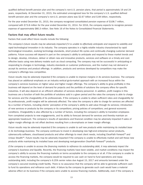qualified defined benefit pension plan and the company's non-U.S. pension plans, that period is approximately 19 and 24 years, respectively. At December 31, 2015, the estimated unrecognized loss for the company's U.S. qualified defined benefit pension plan and the company's non-U.S. pension plans was \$2.67 billion and \$.84 billion, respectively.

For the year ended December 31, 2015, the company recognized consolidated pension expense of \$108.7 million, compared with \$73.8 million for the year ended December 31, 2014. For 2016, the company expects to recognize pension expense of approximately \$80.3 million. See Note 16 of the Notes to Consolidated Financial Statements.

#### **Factors that may affect future results**

Factors that could affect future results include the following:

*The company's future results may be adversely impacted if it is unable to effectively anticipate and respond to volatility and rapid technological innovation in its industry.* The company operates in a highly volatile industry characterized by rapid technological innovation, evolving technology standards, short product life cycles and continually changing customer demand patterns. Future success will depend in part on the company's ability to anticipate and respond to these market trends and to design, develop, introduce, deliver or obtain new and innovative products, services and software on a timely and costeffective basis using new delivery models such as cloud computing. The company may not be successful in anticipating or responding to changes in technology, industry standards or customer preferences, and the market may not demand or accept its services and product offerings. In addition, products and services developed by competitors may make the company's offerings less competitive.

*Future results may be adversely impacted if the company is unable to improve margins in its services business.* The company has placed an additional emphasis on an industry vertical go-to-market approach with an increased focus within the company's services business on higher value and higher margin offerings. The company's ability to grow profitably in this business will depend on the level of demand for projects and the portfolio of solutions the company offers for specific industries. It will also depend on an efficient utilization of services delivery personnel. In addition, profit margins in this business are a function of both the portfolio of solutions sold in a given period and the rates the company is able to charge for services and the chargeability of its professionals. If the company is unable to attain sufficient rates and chargeability for its professionals, profit margins will be adversely affected. The rates the company is able to charge for services are affected by a number of factors, including clients' perception of the company's ability to add value through its services; introduction of new services or products by the company or its competitors; pricing policies of competitors; and general economic conditions. Chargeability is also affected by a number of factors, including the company's ability to transition employees from completed projects to new engagements, and its ability to forecast demand for services and thereby maintain an appropriate headcount. The company's results of operations and financial condition may be adversely impacted if sales of higher margin offerings do not offset declines resulting from a de-emphasis on lower margin offerings.

*Future results may be adversely impacted if the company is unable to sell new products while maintaining its installed base in its technology business.* The company continues to invest in developing new high-end enterprise server products, cybersecurity software, cloud-based products and other offerings to meet client needs, including ClearPath Forward™ and Unisys Stealth™. Future results may be adversely impacted if the company is unable to effectively market and sell these new products while maintaining its installed base and developing next-generation ClearPath Forward™ products.

*If the company is unable to access the financing markets to refinance its outstanding debt, it may adversely impact the company's business and liquidity*. Recently, the financing markets have been volatile, and market conditions may impact the company's ability to access the financing markets on terms acceptable to the company or at all. If the company is unable to access the financing markets, the company would be required to use cash on hand to fund operations and repay outstanding debt, including the company's 6.25% senior notes due August 15, 2017 and amounts borrowed under the company's secured revolving credit facility. There is no assurance that the company will be able to generate sufficient cash to fund its operations and refinance such debt. A failure by the company to generate such cash would have a material adverse effect on its business if the company were unable to access financing markets. Additionally, even if the company is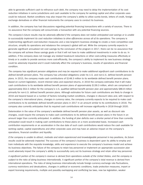able to generate sufficient cash to refinance such debt, the company may need to delay the implementation of its cost reduction initiatives in some jurisdictions and cash available to the company for working capital and other corporate uses could be reduced. Market conditions may also impact the company's ability to utilize surety bonds, letters of credit, foreign exchange derivatives or other financial instruments the company uses to conduct its business.

In addition, the company has had discussions regarding potential financing transactions with a variety of sources. There is no assurance that the company will consummate a transaction with any potential financing sources.

*The company's future results may be adversely affected if the company does not realize anticipated cost savings or is unable to successfully implement its cost reduction initiatives to drive efficiencies across all of its operations.* The company is implementing significant cost-reduction measures and a new long-term business strategy to create a more competitive cost structure, simplify its operations and rebalance the company's global skill set. While the company currently expects to generate significant annualized net cost savings by the conclusion of the program in 2017, there can be no assurance that the company will achieve these savings goals or that it will not have to make additional investments in order to do so. In addition, if the company does not manage any related headcount reductions or other cost-cutting measures effectively or timely or is unable to provide services more cost-efficiently, the company's ability to implement its new business strategy could be adversely impacted and it could materially affect the company's business, results of operations and financial condition.

*The company has significant pension obligations and may be required to make additional significant cash contributions to its defined benefit pension plans.* The company has unfunded obligations under its U.S. and non-U.S. defined benefit pension plans. In 2015, the company made cash contributions of \$148.3 million to its worldwide defined benefit pension plans. Based on current legislation, recent interest rates and expected returns, in 2016 the company estimates that it will make cash contributions to its worldwide defined benefit pension plans of approximately \$139.3 million, which are comprised of approximately \$52.5 million for the company's U.S. qualified defined benefit pension plan and approximately \$86.8 million primarily for non-U.S. defined benefit pension plans. Although estimates for future cash contributions are likely to change in 2016 and beyond based on a number of factors including market conditions, changes in discount rates and, with respect to the company's international plans, changes in currency rates, the company currently expects to be required to make cash contributions to its worldwide defined benefit pension plans in 2017 in an amount similar to its contributions in 2016. The company also currently anticipates that its required cash contributions will increase significantly in 2018 through 2020.

Deterioration in the value of the company's worldwide defined benefit pension plan assets, as well as discount rate changes, could require the company to make cash contributions to its defined benefit pension plans in the future in an amount larger than currently anticipated. In addition, the funding of plan deficits over a shorter period of time than currently anticipated could result in making cash contributions to these plans on a more accelerated basis. Increased cash contribution requirements or an acceleration in the due date of such cash contributions would reduce the cash available for working capital, capital expenditures and other corporate uses and may have an adverse impact on the company's operations, financial condition and liquidity.

*If the company is unable to attract, motivate and retain experienced and knowledgeable personnel in key positions, its future results could be adversely impacted.* The success of the company's business is dependent upon its ability to employ and train individuals with the requisite knowledge, skills and experience to execute the company's business model and achieve its business objectives. The failure of the company to retain key personnel or implement an appropriate succession plan could adversely impact the company's ability to successfully carry out its business strategy and retain other key personnel.

*A significant portion of the company's revenue is derived from operations outside of the United States, and the company is subject to the risks of doing business internationally.* A significant portion of the company's total revenue is derived from international operations. The risks of doing business internationally include foreign currency exchange rate fluctuations, currency restrictions and devaluations, changes in political or economic conditions, trade protection measures, import or export licensing requirements, multiple and possibly overlapping and conflicting tax laws, new tax legislation, weaker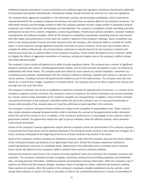intellectual property protections in some jurisdictions and additional legal and regulatory compliance requirements applicable to businesses that operate internationally, including the Foreign Corrupt Practices Act and non-U.S. laws and regulations.

*The company faces aggressive competition in the information services and technology marketplace, which could lead to reduced demand for the company's products and services and could have an adverse effect on the company's business.* The information services and technology markets in which the company operates include a large number of companies vying for customers and market share both domestically and internationally. The company's competitors include consulting and other professional services firms, systems integrators, outsourcing providers, infrastructure services providers, computer hardware manufacturers and software providers. Some of the company's competitors may develop competing products and services that offer better price-performance or that reach the market in advance of the company's offerings. Some competitors also have or may develop greater financial and other resources than the company, with enhanced ability to compete for market share, in some instances through significant economic incentives to secure contracts. Some also may be better able to compete for skilled professionals. Any of these factors could lead to reduced demand for the company's products and services and could have an adverse effect on the company's business. Future results will depend on the company's ability to mitigate the effects of aggressive competition on revenues, pricing and margins and on the company's ability to attract and retain talented people.

*The company's future results will depend on its ability to retain significant clients.* The company has a number of significant long-term contracts with clients, including governmental entities, and its future success will depend, in part, on retaining its relationships with these clients. The company could lose clients for such reasons as contract expiration, conversion to a competing service provider, dissatisfaction with the company's efficiency initiatives, disputes with clients or a decision to insource services, including contracts with governmental entities as part of the rebid process. The company could also lose clients as a result of their merger, acquisition or business failure. The company may not be able to replace the revenue and earnings from any such lost client.

*The company's contracts may not be as profitable as expected or provide the expected level of revenues*. In a number of the company's long-term services contracts, the company's revenue is based on the volume of products and services provided. As a result, revenue levels anticipated at the contract's inception are not guaranteed. In addition, some of these contracts may permit termination at the customer's discretion before the end of the contract's term or may permit termination or impose other penalties if the company does not meet the performance levels specified in the contracts.

The company's contracts with governmental entities are subject to the availability of appropriated funds. These contracts also contain provisions allowing the governmental entity to terminate the contract at the governmental entity's discretion before the end of the contract's term. In addition, if the company's performance is unacceptable to the customer under a government contract, the government retains the right to pursue remedies under the affected contract, which remedies could include termination.

Certain of the company's services agreements require that the company's prices be benchmarked if the customer requests it and provide that those prices may be adjusted downward if the pricing for similar services in the market has changed. As a result, revenues anticipated at the beginning of the terms of these contracts may decline in the future.

Some of the company's services contracts are fixed-price contracts under which the company assumes the risk for delivery of the contracted services and products at an agreed-upon fixed price. Should the company experience problems in performing fixed-price contracts on a profitable basis, adjustments to the estimated cost to complete may be required. Future results will depend on the company's ability to perform these services contracts profitably.

*Cybersecurity breaches could result in the company incurring significant costs and could harm the company's business and reputation.* The company's business includes managing, processing, storing and transmitting proprietary and confidential data, including personal information, intellectual property and proprietary business information, within the company's own IT systems and those that the company designs, develops, hosts or manages for clients. Cybersecurity breaches involving these systems by hackers, other third parties or the company's employees, despite established security controls, could disrupt these systems or result in the loss or corruption of data or the unauthorized disclosure or misuse of information of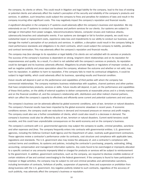the company, its clients or others. This could result in litigation and legal liability for the company, lead to the loss of existing or potential clients and adversely affect the market's perception of the security and reliability of the company's products and services. In addition, such breaches could subject the company to fines and penalties for violations of laws and result in the company incurring other significant costs. This may negatively impact the company's reputation and financial results.

*A significant disruption in the company's IT systems could adversely affect the company's business and reputation.* We rely extensively on our IT systems to conduct our business and perform services for our clients. Our systems are subject to damage or interruption from power outages, telecommunications failures, computer viruses and malicious attacks, cybersecurity breaches and catastrophic events. If our systems are damaged or fail to function properly, we could incur substantial repair or replacement costs, experience data loss and impediments to our ability to conduct our business, and damage the market's perception of our products and services. In addition, a disruption could result in the company failing to meet performance standards and obligations in its client contracts, which could subject the company to liability, penalties and contract termination. This may adversely affect the company's reputation and financial results.

*The company may face damage to its reputation or legal liability if its clients are not satisfied with its services or products.* The success of the company's business is dependent on strong, long-term client relationships and on its reputation for responsiveness and quality. As a result, if a client is not satisfied with the company's services or products, its reputation could be damaged and its business adversely affected. Allegations by private litigants or regulators of improper conduct, as well as negative publicity and press speculation about the company, whatever the outcome and whether or not valid, may harm its reputation. In addition to harm to reputation, if the company fails to meet its contractual obligations, it could be subject to legal liability, which could adversely affect its business, operating results and financial condition.

*Future results will depend in part on the performance and capabilities of third parties with whom the company has commercial relationships.* The company maintains business relationships with suppliers, channel partners and other parties that have complementary products, services or skills. Future results will depend, in part, on the performance and capabilities of these third parties, on the ability of external suppliers to deliver components at reasonable prices and in a timely manner, and on the financial condition of, and the company's relationship with, distributors and other indirect channel partners, which can affect the company's capacity to effectively and efficiently serve current and potential customers and end users.

*The company's business can be adversely affected by global economic conditions, acts of war, terrorism or natural disasters.* The company's financial results have been impacted by the global economic slowdown in recent years. If economic conditions worsen, the company could see reductions in demand and increased pressure on revenue and profit margins. The company could also see a further consolidation of clients, which could also result in a decrease in demand. The company's business could also be affected by acts of war, terrorism or natural disasters. Current world tensions could escalate, and this could have unpredictable consequences on the world economy and on the company's business.

*The company's contracts with U.S. governmental agencies may subject the company to audits, criminal penalties, sanctions and other expenses and fines.* The company frequently enters into contracts with governmental entities. U.S. government agencies, including the Defense Contract Audit Agency and the Department of Labor, routinely audit government contractors. These agencies review a contractor's performance under its contracts, cost structure and compliance with applicable laws, regulations and standards. The U.S. government also may review the adequacy of, and a contractor's compliance with, contract terms and conditions, its systems and policies, including the contractor's purchasing, property, estimating, billing, accounting, compensation and management information systems. Any costs found to be overcharged or improperly allocated to a specific contract or any amounts improperly billed or charged for products or services will be subject to reimbursement to the government. In addition, government contractors, such as the company, are required to disclose credible evidence of certain violations of law and contract overcharging to the federal government. If the company is found to have participated in improper or illegal activities, the company may be subject to civil and criminal penalties and administrative sanctions, including termination of contracts, forfeiture of profits, suspension of payments, fines and suspension or prohibition from doing business with the U.S. government. Any negative publicity related to such contracts, regardless of the accuracy of such publicity, may adversely affect the company's business or reputation.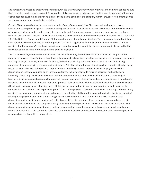*The company's services or products may infringe upon the intellectual property rights of others.* The company cannot be sure that its services and products do not infringe on the intellectual property rights of third parties, and it may have infringement claims asserted against it or against its clients. These claims could cost the company money, prevent it from offering some services or products, or damage its reputation.

*Pending litigation could affect the company's results of operations or cash flow.* There are various lawsuits, claims, investigations and proceedings that have been brought or asserted against the company, which arise in the ordinary course of business, including actions with respect to commercial and government contracts, labor and employment, employee benefits, environmental matters, intellectual property and non-income tax and employment compensation in Brazil. See Note 14 of the Notes to Consolidated Financial Statements for more information on litigation. The company believes that it has valid defenses with respect to legal matters pending against it. Litigation is inherently unpredictable, however, and it is possible that the company's results of operations or cash flow could be materially affected in any particular period by the resolution of one or more of the legal matters pending against it.

*The company could face business and financial risk in implementing future dispositions or acquisitions.* As part of the company's business strategy, it may from time to time consider disposing of existing technologies, products and businesses that may no longer be in alignment with its strategic direction, including transactions of a material size, or acquiring complementary technologies, products and businesses. Potential risks with respect to dispositions include difficulty finding buyers or alternative exit strategies on acceptable terms in a timely manner; potential loss of employees or clients; dispositions at unfavorable prices or on unfavorable terms, including relating to retained liabilities; and post-closing indemnity claims. Any acquisitions may result in the incurrence of substantial additional indebtedness or contingent liabilities. Acquisitions could also result in potentially dilutive issuances of equity securities and an increase in amortization expenses related to intangible assets. Additional potential risks associated with acquisitions include integration difficulties; difficulties in maintaining or enhancing the profitability of any acquired business; risks of entering markets in which the company has no or limited prior experience; potential loss of employees or failure to maintain or renew any contracts of any acquired business; and expenses of any undiscovered or potential liabilities of the acquired product or business, including relating to employee benefits contribution obligations or environmental requirements. Further, with respect to both dispositions and acquisitions, management's attention could be diverted from other business concerns. Adverse credit conditions could also affect the company's ability to consummate dispositions or acquisitions. The risks associated with dispositions and acquisitions could have a material adverse effect upon the company's business, financial condition and results of operations. There can be no assurance that the company will be successful in consummating future dispositions or acquisitions on favorable terms or at all.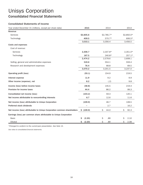# Unisys Corporation **Consolidated Financial Statements**

#### **Consolidated Statements of Income**

| Year ended December 31 (millions, except per share data)                 | 2015         | 2014        | 2013       |
|--------------------------------------------------------------------------|--------------|-------------|------------|
| Revenue                                                                  |              |             |            |
| Services                                                                 | \$2,605.6    | $$2,785.7*$ | \$2,850.0* |
| Technology                                                               | 409.5        | $570.7*$    | 606.5*     |
|                                                                          | 3,015.1      | 3,356.4     | 3,456.5    |
| Costs and expenses                                                       |              |             |            |
| Cost of revenue:                                                         |              |             |            |
| Services                                                                 | 2,306.7      | 2,337.8*    | $2,351.0*$ |
| Technology                                                               | 167.5        | 240.8*      | $257.1*$   |
|                                                                          | 2,474.2      | 2,578.6     | 2,608.1    |
| Selling, general and administrative expenses                             | 519.6        | 554.1       | 559.4      |
| Research and development expenses                                        | 76.4         | 68.8        | 69.5       |
|                                                                          | 3,070.2      | 3,201.5     | 3,237.0    |
| Operating profit (loss)                                                  | (55.1)       | 154.9       | 219.5      |
| Interest expense                                                         | 11.9         | 9.2         | 9.9        |
| Other income (expense), net                                              | 8.2          | (.2)        | 9.8        |
| Income (loss) before income taxes                                        | (58.8)       | 145.5       | 219.4      |
| Provision for income taxes                                               | 44.4         | 86.2        | 99.3       |
| Consolidated net income (loss)                                           | (103.2)      | 59.3        | 120.1      |
| Net income attributable to noncontrolling interests                      | 6.7          | 12.6        | 11.6       |
| Net income (loss) attributable to Unisys Corporation                     | (109.9)      | 46.7        | 108.5      |
| Preferred stock dividends                                                |              | 2.7         | 16.2       |
| Net income (loss) attributable to Unisys Corporation common shareholders | \$ (109.9)   | Ś.<br>44.0  | \$<br>92.3 |
| Earnings (loss) per common share attributable to Unisys Corporation      |              |             |            |
| <b>Basic</b>                                                             | (2.20)<br>S  | \$<br>.89   | \$<br>2.10 |
| Diluted                                                                  | Ś.<br>(2.20) | Ś.<br>.89   | Ś.<br>2.08 |

*\*Changed to conform to the current-year presentation. See Note 15.*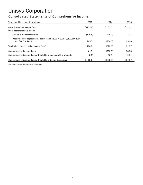### **Consolidated Statements of Comprehensive Income**

| Year ended December 31 (millions)                                                                | 2015       | 2014      | 2013    |
|--------------------------------------------------------------------------------------------------|------------|-----------|---------|
| Consolidated net income (loss)                                                                   | \$(103.2)  | \$59.3    | \$120.1 |
| Other comprehensive income                                                                       |            |           |         |
| Foreign currency translation                                                                     | (100.8)    | (66.3)    | (40.1)  |
| Postretirement adjustments, net of tax of \$18.1 in 2015, \$(42.5) in 2014<br>and \$14.6 in 2013 | 265.7      | (756.8)   | 853.8   |
| Total other comprehensive income (loss)                                                          | 164.9      | (823.1)   | 813.7   |
| Comprehensive income (loss)                                                                      | 61.7       | (763.8)   | 933.8   |
| Comprehensive income (loss) attributable to noncontrolling interests                             | (3.5)      | 30.5      | (25.1)  |
| Comprehensive income (loss) attributable to Unisys Corporation                                   | 58.2<br>S. | \$(733.3) | \$908.7 |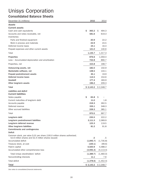## **Consolidated Balance Sheets**

| December 31 (millions)                                                                                                           | 2015        |     | 2014       |
|----------------------------------------------------------------------------------------------------------------------------------|-------------|-----|------------|
| Assets                                                                                                                           |             |     |            |
| <b>Current assets</b>                                                                                                            |             |     |            |
| Cash and cash equivalents                                                                                                        | \$<br>365.2 | \$. | 494.3      |
| Accounts and notes receivable, net                                                                                               | 581.6       |     | 619.3      |
| Inventories:                                                                                                                     |             |     |            |
| Parts and finished equipment                                                                                                     | 20.9        |     | 22.2       |
| Work in process and materials                                                                                                    | 22.9        |     | 24.5       |
| Deferred income taxes                                                                                                            | 24.1        |     | 16.4       |
| Prepaid expenses and other current assets                                                                                        | 121.0       |     | 140.6      |
| Total                                                                                                                            | 1,135.7     |     | 1,317.3    |
| Properties                                                                                                                       | 876.6       |     | 1,059.4    |
| Less - Accumulated depreciation and amortization                                                                                 | 722.8       |     | 890.7      |
| Properties, net                                                                                                                  | 153.8       |     | 168.7      |
| Outsourcing assets, net                                                                                                          | 182.0       |     | 150.9      |
| Marketable software, net                                                                                                         | 138.5       |     | 144.1      |
| Prepaid postretirement assets                                                                                                    | 45.1        |     | 19.9       |
| Deferred income taxes                                                                                                            | 114.5       |     | 154.6      |
| Goodwill                                                                                                                         | 177.4       |     | 183.9      |
| Other long-term assets                                                                                                           | 196.2       |     | 209.3      |
| Total                                                                                                                            | \$2,143.2   |     | \$2,348.7  |
| Liabilities and deficit                                                                                                          |             |     |            |
| <b>Current liabilities</b>                                                                                                       |             |     |            |
| Notes payable                                                                                                                    | \$<br>65.8  | Ŝ.  |            |
| Current maturities of long-term debt                                                                                             | 11.0        |     | 1.8        |
| Accounts payable                                                                                                                 | 219.3       |     | 262.5      |
| Deferred revenue                                                                                                                 | 335.1       |     | 348.3      |
| Other accrued liabilities                                                                                                        | 339.3       |     | 385.1      |
| Total                                                                                                                            | 970.5       |     | 997.7      |
| Long-term debt                                                                                                                   | 235.5       |     | 222.2      |
| Long-term postretirement liabilities                                                                                             | 2,111.3     |     | 2,369.9    |
| Long-term deferred revenue                                                                                                       | 123.3       |     | 119.5      |
| Other long-term liabilities                                                                                                      | 81.2        |     | 91.8       |
| <b>Commitments and contingencies</b>                                                                                             |             |     |            |
| <b>Deficit</b>                                                                                                                   |             |     |            |
| Common stock, par value \$.01 per share (100.0 million shares authorized;<br>52.6 million shares and 52.4 million shares issued) | .5          |     | .5         |
| Accumulated deficit                                                                                                              | (1,845.7)   |     | (1,735.8)  |
| Treasury stock, at cost                                                                                                          | (100.1)     |     | (99.6)     |
| Paid-in capital                                                                                                                  | 4,500.9     |     | 4,488.3    |
| Accumulated other comprehensive loss                                                                                             | (3,945.3)   |     | (4, 113.4) |
| Total Unisys stockholders' deficit                                                                                               | (1,389.7)   |     | (1,460.0)  |
| Noncontrolling interests                                                                                                         | 11.1        |     | 7.6        |
| Total deficit                                                                                                                    | (1,378.6)   |     | (1,452.4)  |
| <b>Total</b>                                                                                                                     | \$2,143.2   |     | \$2,348.7  |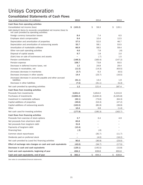### **Consolidated Statements of Cash Flows**

| Year ended December 31 (millions)                                                                               | 2015          | 2014        | 2013        |
|-----------------------------------------------------------------------------------------------------------------|---------------|-------------|-------------|
| Cash flows from operating activities                                                                            |               |             |             |
| Consolidated net income (loss)                                                                                  | (103.2)<br>Ŝ. | \$<br>59.3  | \$<br>120.1 |
| Add (deduct) items to reconcile consolidated net income (loss) to<br>net cash provided by operating activities: |               |             |             |
| Foreign currency transaction losses                                                                             | 8.4           | 7.4         | 6.5         |
| Employee stock compensation                                                                                     | 9.4           | 10.4        | 12.5        |
| Depreciation and amortization of properties                                                                     | 57.5          | 52.0        | 46.7        |
| Depreciation and amortization of outsourcing assets                                                             | 55.7          | 58.1        | 53.5        |
| Amortization of marketable software                                                                             | 66.9          | 58.5        | 59.4        |
| Other non-cash operating activities                                                                             | 4.6           | 7.8         | (.6)        |
| Disposal of capital assets                                                                                      | 9.7           | 1.8         | 2.0         |
| (Gain) loss on sale of businesses and assets                                                                    |               | (.7)        | 1.5         |
| Pension contributions                                                                                           | (148.3)       | (183.4)     | (147.2)     |
| Pension expense                                                                                                 | 108.7         | 73.8        | 93.5        |
| Decrease in deferred income taxes, net                                                                          | 1.2           | 24.8        | 29.4        |
| Increase in receivables, net                                                                                    | (11.5)        | (14.3)      | (63.5)      |
| (Increase) decrease in inventories                                                                              | (3.7)         | 6.3         | (6.5)       |
| Decrease (increase) in other assets                                                                             | 14.4          | (23.7)      | (16.5)      |
| (Increase) decrease in accounts payable and other accrued<br>liabilities                                        | (61.1)        | 14.4        | 1.9         |
| Decrease in other liabilities                                                                                   | (7.5)         | (31.1)      | (5.3)       |
| Net cash provided by operating activities                                                                       | 1.2           | 121.4       | 187.4       |
| Cash flows from investing activities                                                                            |               |             |             |
| Proceeds from investments                                                                                       | 3,831.6       | 5,654.0     | 5,315.9     |
| Purchases of investments                                                                                        | (3,806.2)     | (5,640.3)   | (5,325.8)   |
| Investment in marketable software                                                                               | (62.1)        | (73.6)      | (64.3)      |
| Capital additions of properties                                                                                 | (49.6)        | (53.3)      | (47.2)      |
| Capital additions of outsourcing assets                                                                         | (102.0)       | (85.9)      | (39.9)      |
| Other                                                                                                           | 10.4          | 3.8         | (1.4)       |
| Net cash used for investing activities                                                                          | (177.9)       | (195.3)     | (162.7)     |
| Cash flows from financing activities                                                                            |               |             |             |
| Proceeds from exercise of stock options                                                                         | 3.7           | 3.4         | 4.9         |
| Net proceeds from short-term debt                                                                               | 65.8          |             |             |
| Net proceeds from long-term debt                                                                                | 31.8          |             |             |
| Payments of long-term debt                                                                                      | (10.4)        |             |             |
| Financing fees                                                                                                  | (.3)          | (.6)        |             |
| Common stock repurchases                                                                                        |               | (35.7)      | (11.7)      |
| Dividends paid on preferred stock                                                                               |               | (4.0)       | (16.2)      |
| Net cash provided by (used for) financing activities                                                            | 90.6          | (36.9)      | (23.0)      |
| Effect of exchange rate changes on cash and cash equivalents                                                    | (43.0)        | (34.7)      | (17.5)      |
| Decrease in cash and cash equivalents                                                                           | (129.1)       | (145.5)     | (15.8)      |
| Cash and cash equivalents, beginning of year                                                                    | 494.3         | 639.8       | 655.6       |
| Cash and cash equivalents, end of year                                                                          | 365.2<br>S    | 494.3<br>\$ | 639.8<br>Ş  |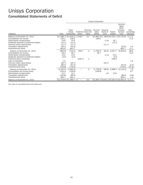# Unisys Corporation **Consolidated Statements of Deficit**

|                                                                     |                  | Unisys Corporation                  |         |                                        |                             |                              |                    |                                                          |                                         |
|---------------------------------------------------------------------|------------------|-------------------------------------|---------|----------------------------------------|-----------------------------|------------------------------|--------------------|----------------------------------------------------------|-----------------------------------------|
| (millions)                                                          | Total            | Total<br>Unisys<br>Corporation      | Stock   | Common<br>Preferred Stock Par<br>Value | Accumu-<br>lated<br>Deficit | Treasurv<br>Stock At<br>Cost | Paid-in<br>Capital | Accumu-<br>lated<br>Other<br>Compre-<br>hensive<br>Loss  | Non-<br>controlling<br><b>Interests</b> |
| Balance at December 31, 2012                                        |                  | $\$(1,588.7) \$(1,600.2) \$(249.7)$ |         | \$.4                                   |                             |                              |                    | $\$(1,891.0) \$(48.8) \$(4,223.1 \$(4,133.6)$            | \$11.5                                  |
| Consolidated net income                                             | 120.1            | 108.5                               |         |                                        | 108.5                       |                              |                    |                                                          | 11.6                                    |
| Stock-based compensation                                            | 14.8             | 14.8                                |         |                                        |                             | (1.9)                        | 16.7               |                                                          |                                         |
| Dividends declared to preferred holders<br>Common stock repurchases | (12.1)<br>(11.7) | (12.1)<br>(11.7)                    |         |                                        |                             | (11.7)                       | (12.1)             |                                                          |                                         |
| Translation adjustments                                             | (40.1)           | (42.5)                              |         |                                        |                             |                              |                    | (42.5)                                                   | 2.4                                     |
| Postretirement plans                                                | 853.8            | 842.7                               |         |                                        |                             |                              |                    | 842.7                                                    | 11.1                                    |
| Balance at December 31, 2013                                        | (663.9)          | (700.5)                             | 249.7   | .4                                     | (1,782.5)                   | (62.4)                       | 4,227.7            | (3,333.4)                                                | 36.6                                    |
| Consolidated net income                                             | 59.3             | 46.7                                |         |                                        | 46.7                        |                              |                    |                                                          | 12.6                                    |
| Stock-based compensation                                            | 13.5             | 13.5                                |         |                                        |                             | (1.5)                        | 15.0               |                                                          |                                         |
| Dividends declared to preferred holders                             | (4.0)            | (4.0)                               |         |                                        |                             |                              | (4.0)              |                                                          |                                         |
| Preferred stock conversion                                          |                  | -                                   | (249.7) | $\cdot$ 1                              |                             |                              | 249.6              |                                                          |                                         |
| Sale of subsidiary<br>Common stock repurchases                      | 1.5<br>(35.7)    | (35.7)                              |         |                                        |                             | (35.7)                       |                    |                                                          | 1.5                                     |
| Translation adjustments                                             | (66.3)           | (61.0)                              |         |                                        |                             |                              |                    | (61.0)                                                   | (5.3)                                   |
| Postretirement plans                                                | (756.8)          | (719.0)                             |         |                                        |                             |                              |                    | (719.0)                                                  | (37.8)                                  |
| Balance at December 31, 2014                                        | (1,452.4)        | (1.460.0)                           |         | .5                                     | (1,735.8)                   | (99.6)                       | 4,488.3            | (4, 113.4)                                               | 7.6                                     |
| Consolidated net income (loss)                                      | (103.2)          | (109.9)                             |         |                                        | (109.9)                     |                              |                    |                                                          | 6.7                                     |
| Stock-based compensation                                            | 12.1             | 12.1                                |         |                                        |                             | (.5)                         | 12.6               |                                                          |                                         |
| Translation adjustments                                             | (100.8)          | (96.0)                              |         |                                        |                             |                              |                    | (96.0)                                                   | (4.8)                                   |
| Postretirement plans                                                | 265.7            | 264.1                               |         |                                        |                             |                              |                    | 264.1                                                    | 1.6                                     |
| Balance at December 31, 2015                                        |                  | $\$(1,378.6) \$(1,389.7) \$$        |         | \$.5                                   |                             |                              |                    | $\frac{\xi(1,845.7)\xi(100.1)\xi4,500.9\xi(3,945.3)}{1}$ | \$11.1                                  |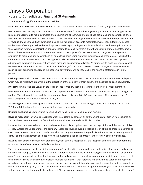# Unisys Corporation **Notes to Consolidated Financial Statements**

#### **1. Summary of significant accounting policies**

**Principles of consolidation** The consolidated financial statements include the accounts of all majority-owned subsidiaries.

**Use of estimates** The preparation of financial statements in conformity with U.S. generally accepted accounting principles requires management to make estimates and assumptions about future events. These estimates and assumptions affect the amounts of assets and liabilities reported, disclosures about contingent assets and liabilities and the reported amounts of revenue and expenses. Such estimates include the valuation of accounts receivable, inventories, outsourcing assets, marketable software, goodwill and other long-lived assets, legal contingencies, indemnifications, and assumptions used in the calculation for systems integration projects, income taxes and retirement and other post-employment benefits, among others. These estimates and assumptions are based on management's best estimates and judgment. Management evaluates its estimates and assumptions on an ongoing basis using historical experience and other factors, including the current economic environment, which management believes to be reasonable under the circumstances. Management adjusts such estimates and assumptions when facts and circumstances dictate. As future events and their effects cannot be determined with precision, actual results could differ significantly from these estimates. Changes in those estimates resulting from continuing changes in the economic environment will be reflected in the financial statements in future periods.

**Cash equivalents** All short-term investments purchased with a maturity of three months or less and certificates of deposit which may be withdrawn at any time at the discretion of the company without penalty are classified as cash equivalents.

**Inventories** Inventories are valued at the lower of cost or market. Cost is determined on the first-in, first-out method.

**Properties** Properties are carried at cost and are depreciated over the estimated lives of such assets using the straight-line method. The estimated lives used, in years, are as follows: buildings,  $20 - 50$ ; machinery and office equipment,  $4 - 7$ ; rental equipment, 4; and internal-use software,  $3 - 10$ .

**Advertising costs** All advertising costs are expensed as incurred. The amount charged to expense during 2015, 2014 and 2013 was \$4.9 million, \$8.0 million and \$2.5 million, respectively.

**Shipping and handling** Costs related to shipping and handling is included in cost of revenue.

**Revenue recognition** Revenue is recognized when persuasive evidence of an arrangement exists, delivery has occurred or services have been rendered, the fee is fixed or determinable, and collectability is probable.

Revenue from hardware sales with standard payment terms is recognized upon the passage of title and the transfer of risk of loss. Outside the United States, the company recognizes revenue even if it retains a form of title to products delivered to customers, provided the sole purpose is to enable the company to recover the products in the event of customer payment default and the arrangement does not prohibit the customer's use of the product in the ordinary course of business.

Revenue from software licenses with standard payment terms is recognized at the inception of the initial license term and upon execution of an extension to the license term.

The company also enters into multiple-element arrangements, which may include any combination of hardware, software or services. For example, a client may purchase an enterprise server that includes operating system software. In addition, the arrangement may include post-contract support for the software and a contract for post-warranty maintenance for service of the hardware. These arrangements consist of multiple deliverables, with hardware and software delivered in one reporting period and the software support and hardware maintenance services delivered across multiple reporting periods. In another example, the company may provide desktop managed services to a client on a long term multiple year basis and periodically sell hardware and software products to the client. The services are provided on a continuous basis across multiple reporting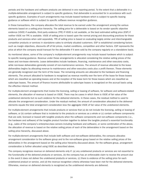periods and the hardware and software products are delivered in one reporting period. To the extent that a deliverable in a multiple-deliverable arrangement is subject to specific guidance, that deliverable is accounted for in accordance with such specific guidance. Examples of such arrangements may include leased hardware which is subject to specific leasing guidance or software which is subject to specific software revenue recognition guidance.

In these transactions, the company allocates the total revenue to be earned under the arrangement among the various elements based on a selling price hierarchy. The selling price for a deliverable is based on its vendor specific objective evidence (VSOE) if available, third party evidence (TPE) if VSOE is not available, or the best estimated selling price (ESP) if neither VSOE nor TPE is available. VSOE of selling price is based upon the normal pricing and discounting practices for those products and services when sold separately. TPE of selling price is based on evaluating largely similar and interchangeable competitor products or services in standalone sales to similarly situated customers. ESP is established considering factors such as margin objectives, discounts off of list prices, market conditions, competition and other factors. ESP represents the price at which the company would transact for the deliverable if it were sold by the company regularly on a standalone basis.

As mentioned above, some of the company's multiple-element arrangements may include leased hardware which is subject to specific leasing guidance. Revenue under these arrangements is allocated considering the relative selling prices of the lease and non-lease elements. Lease deliverables include hardware, financing, maintenance and other executory costs, while non-lease deliverables generally consist of non-maintenance services. The amount of revenue allocated to the lease deliverables begins by allocating revenue to maintenance and other executory costs plus a profit thereon. These elements are generally recognized over the term of the lease. The remaining amounts are allocated to the hardware and financing elements. The amount allocated to hardware is recognized as revenue monthly over the term of the lease for those leases which are classified as operating leases and at the inception of the lease term for those leases which are classified as sales-type leases. The amount of finance income attributable to sales-type leases is recognized on the accrual basis using the effective interest method.

For multiple-element arrangements that involve the licensing, selling or leasing of software, for software and software-related elements, the allocation of revenue is based on VSOE. There may be cases in which there is VSOE of fair value of the undelivered elements but no such evidence for the delivered elements. In these cases, the residual method is used to allocate the arrangement consideration. Under the residual method, the amount of consideration allocated to the delivered elements equals the total arrangement consideration less the aggregate VSOE of fair value of the undelivered elements.

For multiple-element arrangements that include products or services that (a) do not include the licensing, selling or leasing of software, or (b) contain software that is incidental to the products or services as a whole or (c) contain software components that are sold, licensed or leased with tangible products when the software components and non-software components (i.e., the hardware and software) of the tangible product function together to deliver the tangible product's essential functionality (e.g., sales of the company's enterprise-class servers including hardware and software), or some combination of the above, the allocation of revenue is based on the relative selling prices of each of the deliverables in the arrangement based on the selling price hierarchy, discussed above.

For multiple-element arrangements that include both software and non-software deliverables, the company allocates arrangement consideration to the software group and to the non-software group based on the relative selling prices of the deliverables in the arrangement based on the selling price hierarchy discussed above. For the software group, arrangement consideration is further allocated using VSOE as described above.

The company recognizes revenue on delivered elements only if: (a) any undelivered products or services are not essential to the functionality of the delivered products or services, (b) the company has an enforceable claim to receive the amount due in the event it does not deliver the undelivered products or services, (c) there is evidence of the selling price for each undelivered product or service, and (d) the revenue recognition criteria otherwise have been met for the delivered elements. Otherwise, revenue on delivered elements is recognized as the undelivered elements are delivered.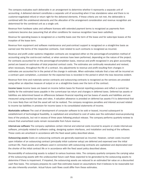The company evaluates each deliverable in an arrangement to determine whether it represents a separate unit of accounting. A delivered element constitutes a separate unit of accounting when it has standalone value and there is no customer-negotiated refund or return right for the delivered elements. If these criteria are not met, the deliverable is combined with the undelivered elements and the allocation of the arrangement consideration and revenue recognition are determined for the combined unit as a single unit.

Revenue from hardware sales and software licenses with extended payment terms is recognized as payments from customers become due (assuming that all other conditions for revenue recognition have been satisfied).

Revenue for operating leases is recognized on a monthly basis over the term of the lease and for sales-type leases at the inception of the lease term.

Revenue from equipment and software maintenance and post-contract support is recognized on a straight-line basis as earned over the terms of the respective contracts. Cost related to such contracts is recognized as incurred.

Revenue and profit under systems integration contracts are recognized either on the percentage-of-completion method of accounting using the cost-to-cost method, or when services have been performed, depending on the nature of the project. For contracts accounted for on the percentage-of-completion basis, revenue and profit recognized in any given accounting period are based on estimates of total projected contract costs. The estimates are continually reevaluated and revised, when necessary, throughout the life of a contract. Any adjustments to revenue and profit resulting from changes in estimates are accounted for in the period of the change in estimate. When estimates indicate that a loss will be incurred on a contract upon completion, a provision for the expected loss is recorded in the period in which the loss becomes evident.

Revenue from time and materials service contracts and outsourcing contracts is recognized as the services are provided using either an objective measure of output or on a straight-line basis over the term of the contract.

**Income taxes** Income taxes are based on income before taxes for financial reporting purposes and reflect a current tax liability for the estimated taxes payable in the current-year tax return and changes in deferred taxes. Deferred tax assets or liabilities are determined based on differences between financial reporting and tax bases of assets and liabilities and are measured using enacted tax laws and rates. A valuation allowance is provided on deferred tax assets if it is determined that it is more likely than not that the asset will not be realized. The company recognizes penalties and interest accrued related to income tax liabilities in provision for income taxes in its consolidated statements of income.

**Marketable software** The cost of development of computer software to be sold or leased, incurred subsequent to establishment of technological feasibility, is capitalized and amortized to cost of sales over the estimated revenue-producing lives of the products, but not in excess of three years following product release. The company performs quarterly reviews to ensure that unamortized costs remain recoverable from future revenue.

**Internal-use software** The company capitalizes certain internal and external costs incurred to acquire or create internal-use software, principally related to software coding, designing system interfaces, and installation and testing of the software. These costs are amortized in accordance with the fixed asset policy described above.

**Outsourcing assets** Costs on outsourcing contracts are generally expensed as incurred. However, certain costs incurred upon initiation of an outsourcing contract (principally initial customer setup) are deferred and expensed over the initial contract life. Fixed assets and software used in connection with outsourcing contracts are capitalized and depreciated over the shorter of the initial contract life or in accordance with the fixed asset policy described above.

Recoverability of outsourcing assets is subject to various business risks. The company quarterly compares the carrying value of the outsourcing assets with the undiscounted future cash flows expected to be generated by the outsourcing assets to determine if there is impairment. If impaired, the outsourcing assets are reduced to an estimated fair value on a discounted cash flow basis. The company prepares its cash flow estimates based on assumptions that it believes to be reasonable but are also inherently uncertain. Actual future cash flows could differ from these estimates.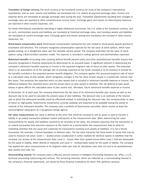**Translation of foreign currency** The local currency is the functional currency for most of the company's international subsidiaries, and as such, assets and liabilities are translated into U.S. dollars at year-end exchange rates. Income and expense items are translated at average exchange rates during the year. Translation adjustments resulting from changes in exchange rates are reported in other comprehensive income (loss). Exchange gains and losses on intercompany balances are reported in other income (expense), net.

For those international subsidiaries operating in highly inflationary economies, the U.S. dollar is the functional currency, and as such, nonmonetary assets and liabilities are translated at historical exchange rates, and monetary assets and liabilities are translated at current exchange rates. Exchange gains and losses arising from translation are included in other income (expense), net.

**Stock-based compensation plans** Stock-based compensation represents the cost related to stock-based awards granted to employees and directors. The company recognizes compensation expense for the fair value of stock options, which have graded vesting, on a straight-line basis over the requisite service period. The company estimates the fair value of stock options using a Black-Scholes valuation model. The expense is recorded in selling, general and administrative expenses.

**Retirement benefits** Accounting rules covering defined benefit pension plans and other postretirement benefits require that amounts recognized in financial statements be determined on an actuarial basis. A significant element in determining the company's retirement benefits expense or income is the expected long-term rate of return on plan assets. This expected return is an assumption as to the average rate of earnings expected on the funds invested or to be invested to provide for the benefits included in the projected pension benefit obligation. The company applies this assumed long-term rate of return to a calculated value of plan assets, which recognizes changes in the fair value of plan assets in a systematic manner over four years. This produces the expected return on plan assets that is included in retirement benefits expense or income. The difference between this expected return and the actual return on plan assets is deferred. The net deferral of past asset losses or gains affects the calculated value of plan assets and, ultimately, future retirement benefits expense or income.

At December 31 of each year, the company determines the fair value of its retirement benefits plan assets as well as the discount rate to be used to calculate the present value of plan liabilities. The discount rate is an estimate of the interest rate at which the retirement benefits could be effectively settled. In estimating the discount rate, the company looks to rates of return on high-quality, fixed-income investments currently available and expected to be available during the period to maturity of the retirement benefits. The company uses a portfolio of fixed-income securities, which receive at least the second-highest rating given by a recognized ratings agency.

**Fair value measurements** Fair value is defined as the price that would be received to sell an asset or paid to transfer a liability in an orderly transaction between market participants at the measurement date. When determining fair value measurements for assets and liabilities required to be recorded at fair value, the company assumes that the transaction is an orderly transaction that assumes exposure to the market for a period before the measurement date to allow for marketing activities that are usual and customary for transactions involving such assets or liabilities; it is not a forced transaction (for example, a forced liquidation or distress sale). The fair value hierarchy has three levels of inputs that may be used to measure fair value: Level 1 – Quoted prices (unadjusted) in active markets for identical assets or liabilities that the company can access at the measurement date; Level 2 – Inputs other than quoted prices within Level 1 that are observable for the asset or liability, either directly or indirectly; and Level 3 – Unobservable inputs for the asset or liability. The company has applied fair value measurements to its long-term debt (see note 9), derivatives (see note 12) and to its postretirement plan assets (see note 16).

**Noncontrolling interest** The company owns a fifty-one percent interest in Intelligent Processing Solutions Ltd. (iPSL), a U.K. business processing outsourcing joint venture. The remaining interests, which are reflected as a noncontrolling interest in the company's financial statements, are owned by three financial institutions for which iPSL performs services.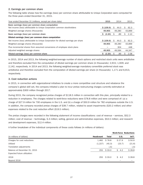#### **2. Earnings per common share**

The following table shows how the earnings (loss) per common share attributable to Unisys Corporation were computed for the three years ended December 31, 2015.

| Year ended December 31 (millions, except per share data)                            | 2015         | 2014      | 2013       |
|-------------------------------------------------------------------------------------|--------------|-----------|------------|
| Basic earnings (loss) per common share computation                                  |              |           |            |
| Net income (loss) attributable to Unisys Corporation common stockholders            | S(109.9)     | 44.0<br>S | 92.3<br>S. |
| Weighted average shares (thousands)                                                 | 49.905       | 49,280    | 43,899     |
| Basic earnings (loss) per common share                                              | \$ (2.20)    | .89<br>S  | 2.10<br>S  |
| Diluted earnings (loss) per common share computation                                |              |           |            |
| Net income (loss) attributable to Unisys Corporation for diluted earnings per share | \$ (109.9)   | S<br>44.0 | 92.3<br>S. |
| Weighted average shares (thousands)                                                 | 49.905       | 49,280    | 43,899     |
| Plus incremental shares from assumed conversions of employee stock plans            |              | 304       | 448        |
| Adjusted weighted average shares                                                    | 49.905       | 49.584    | 44,347     |
| Diluted earnings (loss) per common share                                            | (2.20)<br>S. | .89       | 2.08<br>Ś  |

In 2015, 2014 and 2013, the following weighted-average number of stock options and restricted stock units were antidilutive and therefore excluded from the computation of diluted earnings per common share (in thousands): 2,915; 1,929; and 2,142, respectively. In 2014 and 2013, the following weighted-average mandatory convertible preferred stock was antidilutive and therefore excluded from the computation of diluted earnings per share (in thousands): 1,171 and 6,913, respectively.

#### **3. Cost reduction actions**

In 2015, in connection with organizational initiatives to create a more competitive cost structure and rebalance the company's global skill set, the company initiated a plan to incur pretax restructuring charges currently estimated at approximately \$300 million through 2017.

During 2015, the company recognized pretax charges of \$118.5 million in connection with this plan, principally related to a reduction in employees. The charges related to work-force reductions were \$78.8 million and were comprised of: (a) a charge of \$27.9 million for 700 employees in the U.S. and (b) a charge of \$50.9 million for 782 employees outside the U.S. In addition, the company recorded pretax charges of \$39.7 million, related to asset impairments (\$20.2 million) and other expenses related to the cost reduction effort (\$19.5 million).

The pretax charges were recorded in the following statement of income classifications: cost of revenue – services, \$52.3 million; cost of revenue – technology, \$.3 million; selling, general and administrative expenses, \$53.5 million; and research and development expenses, \$12.4 million.

A further breakdown of the individual components of these costs follows (in millions of dollars):

|                              |                  |              | <b>Work-Force Reductions</b> |        |
|------------------------------|------------------|--------------|------------------------------|--------|
| (in millions of dollars)     | <b>Headcount</b> | <b>Total</b> | U.S.                         | Int'l. |
| Charges for cost reductions  | 1,482            | \$78.8       | \$27.9                       | \$50.9 |
| Utilized                     | (1,227)          | (45.3)       | (23.7)                       | (21.6) |
| Translation adjustments      |                  | (5)          |                              | (.5)   |
| Balance at December 31, 2015 | 255              | \$33.0       | \$4.2                        | \$28.8 |
| Expected future utilization: |                  |              |                              |        |
| 2016                         | 255              | \$33.0       | \$4.2                        | \$28.8 |
| Beyond 2016                  |                  |              |                              |        |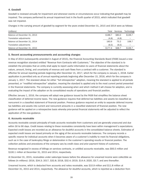#### **4. Goodwill**

Goodwill is reviewed annually for impairment and whenever events or circumstances occur indicating that goodwill may be impaired. The company performed its annual impairment test in the fourth quarter of 2015, which indicated that goodwill was not impaired.

Changes in the carrying amount of goodwill by segment for the years ended December 31, 2015 and 2014 were as follows:

| (millions)                   | Total              | Services      | Technology               |
|------------------------------|--------------------|---------------|--------------------------|
| Balance at December 31, 2013 | \$188.7            | \$80.0        | \$108.7                  |
| Translation adjustments      | (4.8)              | (4.8)         |                          |
| Balance at December 31, 2014 | 183.9              | 75.2          | 108.7                    |
| Translation adjustments      | (6.5)              | (6.5)         | $\overline{\phantom{m}}$ |
| Balance at December 31, 2015 | S <sub>177.4</sub> | <b>\$68.7</b> | \$108.7                  |

#### **5. Recent accounting pronouncements and accounting changes**

In May of 2014 (subsequently amended in August of 2015), the Financial Accounting Standards Board (FASB) issued a new revenue recognition standard entitled "Revenue from Contracts with Customers." The objective of the standard is to establish the principles that an entity shall apply to report useful information to users of financial statements about the nature, amount, timing, and uncertainty of revenue and cash flows from a contract with a customer. The standard is effective for annual reporting periods beginning after December 15, 2017, which for the company is January 1, 2018. Earlier application is permitted only as of annual reporting periods beginning after December 15, 2016, which for the company in January 1, 2017. The standard allows for either "full retrospective" adoption, meaning the standard is applied to all periods presented, or "modified retrospective" adoption, meaning the standard is applied only to the most current period presented in the financial statements. The company is currently assessing when and which method it will choose for adoption, and is evaluating the impact of the adoption on its consolidated results of operations and financial position.

Effective January 1, 2016, the company will adopt new guidance issued by the FASB that simplifies the balance sheet classification of deferred income taxes. The new guidance requires that deferred tax liabilities and assets be classified as noncurrent in a classified statement of financial position. Previous guidance required an entity to separate deferred income tax liabilities and assets into current and noncurrent amounts in a classified statement of financial position. The new guidance will be applied on a retrospective basis whereby prior-period financial statements will be adjusted to reflect the application of the new guidance.

#### **6. Accounts receivable**

Accounts receivable consist principally of trade accounts receivable from customers and are generally unsecured and due within 30 to 90 days. Credit losses relating to these receivables consistently have been within management's expectations. Expected credit losses are recorded as an allowance for doubtful accounts in the consolidated balance sheets. Estimates of expected credit losses are based primarily on the aging of the accounts receivable balances. The company records a specific reserve for individual accounts when it becomes aware of a customer's inability to meet its financial obligations, such as in the case of bankruptcy filings or deterioration in the customer's operating results or financial position. The collection policies and procedures of the company vary by credit class and prior payment history of customers.

Revenue recognized in excess of billings on services contracts, or unbilled accounts receivable, was \$93.5 million and \$100.1 million at December 31, 2015 and 2014, respectively.

At December 31, 2015, receivables under sales-type leases before the allowance for unearned income were collectible as follows (in millions): 2016, \$34.3; 2017, \$32.8; 2018, \$32.4; 2019, \$14.4; 2020, \$3.7; and zero thereafter.

Unearned income, which is deducted from accounts and notes receivable, was \$10.9 million and \$11.8 million at December 31, 2015 and 2014, respectively. The allowance for doubtful accounts, which is reported as a deduction from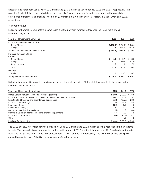accounts and notes receivable, was \$21.1 million and \$30.1 million at December 31, 2015 and 2014, respectively. The provision for doubtful accounts, which is reported in selling, general and administrative expenses in the consolidated statements of income, was expense (income) of \$3.0 million, \$2.7 million and \$(.6) million, in 2015, 2014 and 2013, respectively.

#### **7. Income taxes**

Following is the total income before income taxes and the provision for income taxes for the three years ended December 31, 2015.

| Year ended December 31 (millions)                                                                    | 2015                                                | 2014                             | 2013                              |
|------------------------------------------------------------------------------------------------------|-----------------------------------------------------|----------------------------------|-----------------------------------|
| Income (loss) before income taxes<br><b>United States</b><br>Foreign                                 | \$(130.6) \$(19.9) \$28.4<br>71.8                   | 165.4                            | 191.0                             |
| Total income (loss) before income taxes                                                              | $$$ (58.8) $$$ 145.5 $$$ 219.4                      |                                  |                                   |
| Provision for income taxes<br>Current<br><b>United States</b><br>Foreign<br>State and local<br>Total | Ś.<br>1.0 <sub>1</sub><br>42.2<br>$\cdot$ 3<br>43.5 | S.<br>2.1<br>59.4<br>1.0<br>62.5 | Ŝ.<br>8.0<br>63.0<br>(.2)<br>70.8 |
| Deferred<br>Foreign                                                                                  | .9                                                  | 23.7                             | 28.5                              |
| Total provision for income taxes                                                                     | 44.4<br>S.                                          | \$86.2                           | \$99.3                            |

Following is a reconciliation of the provision for income taxes at the United States statutory tax rate to the provision for income taxes as reported:

| Year ended December 31 (millions)                                       | 2015                | 2014              | 2013   |
|-------------------------------------------------------------------------|---------------------|-------------------|--------|
| United States statutory income tax provision (benefit)                  | $$$ (20.6) $$$ 50.9 |                   | \$76.8 |
| Income and losses for which no provision or benefit has been recognized | 69.1                | 35.7              | 13.5   |
| Foreign rate differential and other foreign tax expense                 | (15.9)              | (22.0)            | (23.0) |
| Income tax withholdings                                                 | 12.5                | 17.1              | 15.4   |
| Permanent items                                                         | (1.9)               | 1.1               | 4.0    |
| Enacted rate changes                                                    | 9.1                 | $\qquad \qquad -$ | 8.9    |
| Change in uncertain tax positions                                       | 1.5                 | $\cdot$ .2        | 4.4    |
| Change in valuation allowances due to changes in judgment               | (5.4)               | 7.0               | (.5)   |
| Income tax credits, U.S.                                                | (4.0)               | (3.9)             |        |
| Other                                                                   |                     |                   | (.2)   |
| Provision for income taxes                                              | $S$ 44.4            | \$86.2            | \$99.3 |

The 2015 and 2013 provision for income taxes included \$9.1 million and \$11.4 million due to a reduction in the UK income tax rate. The rate reductions were enacted in the fourth quarter of 2015 and the third quarter of 2013 and reduced the rate from 20% to 18% and from 21% to 20% effective April 1, 2017 and 2015, respectively. The tax provision was principally caused by a write down of the UK company's net deferred tax assets.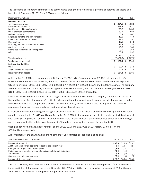The tax effects of temporary differences and carryforwards that give rise to significant portions of deferred tax assets and liabilities at December 31, 2015 and 2014 were as follows:

| December 31 (millions)                 | 2015        | 2014        |
|----------------------------------------|-------------|-------------|
| Deferred tax assets                    |             |             |
| Tax loss carryforwards                 | Ŝ<br>854.5  | 883.3<br>Ŝ  |
| Postretirement benefits                | 695.7       | 791.3       |
| Foreign tax credit carryforwards       | 263.2       | 245.5       |
| Other tax credit carryforwards         | 86.7        | 88.0        |
| Deferred revenue                       | 65.7        | 60.5        |
| Employee benefits and compensation     | 49.9        | 44.6        |
| Purchased capitalized software         | 39.5        | 39.3        |
| Depreciation                           | 36.8        | 34.9        |
| Warranty, bad debts and other reserves | 14.1        | 12.8        |
| Capitalized costs                      | 13.0        | 16.3        |
| Capitalized research and development   | 3.2         | 36.0        |
| Other                                  | 39.7        | 29.5        |
|                                        | 2,162.0     | 2,282.0     |
| Valuation allowance                    | (2,024.9)   | (2, 107.8)  |
| Total deferred tax assets              | 137.1<br>S. | Ŝ.<br>174.2 |
| <b>Deferred tax liabilities</b>        |             |             |
| Other                                  | 22.7<br>\$. | 37.9<br>Ŝ   |
| Total deferred tax liabilities         | \$<br>22.7  | 37.9<br>S   |
| Net deferred tax assets                | Ś<br>114.4  | 136.3<br>S  |

At December 31, 2015, the company has U.S. Federal (\$424.3 million), state and local (\$194.8 million), and foreign (\$235.4 million) tax loss carryforwards, the total tax effect of which is \$854.5 million. These carryforwards will expire as follows (in millions): 2016, \$8.2; 2017, \$10.9; 2018, \$7.7; 2019, \$7.8; 2020, \$17.4; and \$802.5 thereafter. The company also has available tax credit carryforwards of approximately \$349.9 million, which will expire as follows (in millions): 2016, \$10.5; 2017, \$48.1; 2018, \$21.0; 2019, \$19.7; 2020, \$35.5; and \$215.1 thereafter.

Failure to achieve forecasted taxable income might affect the ultimate realization of the company's net deferred tax assets. Factors that may affect the company's ability to achieve sufficient forecasted taxable income include, but are not limited to, the following: increased competition, a decline in sales or margins, loss of market share, the impact of the economic environment, delays in product availability and technological obsolescence.

Cumulative undistributed earnings of foreign subsidiaries, for which no U.S. income or foreign withholding taxes have been recorded, approximated \$1,417.4 million at December 31, 2015. As the company currently intends to indefinitely reinvest all such earnings, no provision has been made for income taxes that may become payable upon distribution of such earnings, and it is not practicable to determine the amount of the related unrecognized deferred income tax liability.

Cash paid for income taxes, net of refunds, during 2015, 2014 and 2013 was \$59.7 million, \$73.9 million and \$63.8 million, respectively.

A reconciliation of the beginning and ending amount of unrecognized tax benefits is as follows:

| Year ended December 31 (millions)                                      | 2015              | 2014   | 2013          |
|------------------------------------------------------------------------|-------------------|--------|---------------|
| Balance at January 1                                                   | <b>S35.0</b>      | \$26.3 | <b>\$29.2</b> |
| Additions based on tax positions related to the current year           | 3.4               | 14.4   | (2.4)         |
| Changes for tax positions of prior years                               | (4.0)             | (1.4)  | (.1)          |
| Reductions as a result of a lapse of applicable statute of limitations | (3.4)             | (1.6)  |               |
| Settlements                                                            | (.9)              | .9     | (.2)          |
| Changes due to foreign currency                                        | (2.4)             | (1.8)  | (.2)          |
| Balance at December 31                                                 | S <sub>27.7</sub> | \$35.0 | \$26.3        |

The company recognizes penalties and interest accrued related to income tax liabilities in the provision for income taxes in its consolidated statements of income. At December 31, 2015 and 2014, the company had an accrual of \$1.0 million and \$1.6 million, respectively, for the payment of penalties and interest.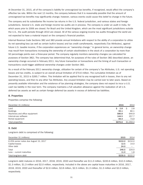At December 31, 2015, all of the company's liability for unrecognized tax benefits, if recognized, would affect the company's effective tax rate. Within the next 12 months, the company believes that it is reasonably possible that the amount of unrecognized tax benefits may significantly change; however, various events could cause this belief to change in the future.

The company and its subsidiaries file income tax returns in the U.S. federal jurisdiction, and various states and foreign jurisdictions. Several U.S. state and foreign income tax audits are in process. The company is under an audit in India, for which years prior to 2006 are closed. For Brazil and the United Kingdom, which are the most significant jurisdictions outside the U.S., the audit periods through 2010 are closed. All of the various ongoing income tax audits throughout the world are not expected to have a material impact on the company's financial position.

Internal Revenue Code Sections 382 and 383 provide annual limitations with respect to the ability of a corporation to utilize its net operating loss (as well as certain built-in losses) and tax credit carryforwards, respectively (Tax Attributes), against future U.S. taxable income, if the corporation experiences an "ownership change." In general terms, an ownership change may result from transactions increasing the ownership of certain stockholders in the stock of a corporation by more than 50 percentage points over a three-year period. The company regularly monitors ownership changes (as calculated for purposes of Section 382). The company has determined that, for purposes of the rules of Section 382 described above, an ownership change occurred in February 2011. Any future transaction or transactions and the timing of such transaction or transactions could trigger additional ownership changes under Section 382.

As a result of the February 2011 ownership change, utilization for certain of the company's Tax Attributes, U.S. net operating losses and tax credits, is subject to an overall annual limitation of \$70.6 million. The cumulative limitation as of December 31, 2015 is \$265.7 million. This limitation will be applied first to any recognized built in losses, then to any net operating losses, and then to any other Tax Attributes. Any unused limitation may be carried over to later years. Based on presently available information and the existence of tax planning strategies, the company does not expect to incur a U.S. cash tax liability in the near term. The company maintains a full valuation allowance against the realization of all U.S. deferred tax assets as well as certain foreign deferred tax assets in excess of deferred tax liabilities.

#### **8. Properties**

Properties comprise the following:

| December 31 (millions)         |    | 2015    | 2014      |
|--------------------------------|----|---------|-----------|
| Land                           | S. | 2.8     | 2.8       |
| <b>Buildings</b>               |    | 93.1    | 80.1      |
| Machinery and office equipment |    | 586.8   | 644.9     |
| Internal-use software          |    | 144.5   | 257.7     |
| Rental equipment               |    | 49.4    | 73.9      |
| Total properties               |    | \$876.6 | \$1,059.4 |

#### **9. Debt**

Long-term debt is comprised of the following:

| December 31 (millions)                 | 2015    | 2014                     |
|----------------------------------------|---------|--------------------------|
| 6.25% senior notes due August 15, 2017 | \$210.0 | \$210.0                  |
| Capital leases                         | 12.5    | 14.0                     |
| Other debt                             | 24.0    | $\overline{\phantom{0}}$ |
| Total                                  | 246.5   | 224.0                    |
| $\text{Less}$ – current maturities     | 11.0    | 1.8                      |
| Total long-term debt                   |         | \$235.5 \$222.2          |

Long-term debt matures in 2016, 2017, 2018, 2019, 2020 and thereafter are \$11.0 million, \$220.6 million, \$10.3 million, \$1.3 million, \$1.3 million and \$2.0 million, respectively. Included in the above are capital lease maturities in 2016, 2017, 2018, 2019, 2020 and thereafter of \$2.6 million, \$2.8 million, \$2.5 million, \$1.3 million, \$1.3 million and \$2.0 million, respectively.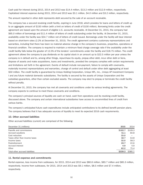Cash paid for interest during 2015, 2014 and 2013 was \$14.4 million, \$13.2 million and \$12.9 million, respectively. Capitalized interest expense during 2015, 2014 and 2013 was \$3.1 million, \$4.0 million and \$3.2 million, respectively.

The amount reported in other debt represents debt secured by the sale of an account receivable.

The company has a secured revolving credit facility, expiring in June 2018, which provides for loans and letters of credit up to an aggregate amount of \$150 million (with a limit on letters of credit of \$100 million). Borrowing limits under the credit agreement are based upon the amount of eligible U.S. accounts receivable. At December 31, 2015, the company had \$65.0 million of borrowings and \$11.4 million of letters of credit outstanding under the facility. At December 31, 2015, availability under the facility was \$54.7 million net of letters of credit issued. Borrowings under the facility will bear interest based on short-term rates (2.2% at December 31, 2015). The credit agreement contains customary representations and warranties, including that there has been no material adverse change in the company's business, properties, operations or financial condition. The company is required to maintain a minimum fixed charge coverage ratio if the availability under the credit facility falls below the greater of 12.5% of the lenders' commitments under the facility and \$18.75 million. The credit agreement allows the company to pay dividends on its capital stock in an amount up to \$22.5 million per year unless the company is in default and to, among other things, repurchase its equity, prepay other debt, incur other debt or liens, dispose of assets and make acquisitions, loans and investments, provided the company complies with certain requirements and limitations set forth in the agreement. Events of default include non-payment, failure to comply with covenants, materially incorrect representations and warranties, change of control and default under other debt aggregating at least \$50 million. The credit facility is guaranteed by Unisys Holding Corporation, Unisys NPL, Inc., Unisys AP Investment Company I and any future material domestic subsidiaries. The facility is secured by the assets of Unisys Corporation and the subsidiary guarantors, other than certain excluded assets. The company may elect to prepay or terminate the credit facility without penalty.

At December 31, 2015, the company has met all covenants and conditions under its various lending agreements. The company expects to continue to meet these covenants and conditions.

The company's principal sources of liquidity are cash on hand, cash from operations and its revolving credit facility, discussed above. The company and certain international subsidiaries have access to uncommitted lines of credit from various banks.

The company's anticipated future cash expenditures include anticipated contributions to its defined benefit pension plans. The company believes that it has adequate sources of liquidity to meet its expected 2016 cash requirements.

#### **10. Other accrued liabilities**

Other accrued liabilities (current) are comprised of the following:

| December 31 (millions)          | 2015    | 2014    |
|---------------------------------|---------|---------|
| Payrolls and commissions        | \$102.7 | \$109.3 |
| Accrued vacations               | 51.1    | 60.8    |
| Cost reduction                  | 33.0    |         |
| Taxes other than income taxes   | 32.7    | 53.8    |
| Income taxes                    | 32.0    | 58.3    |
| Postretirement                  | 20.7    | 22.6    |
| Accrued interest                | 4.9     | 4.9     |
| Other                           | 62.2    | 75.4    |
| Total other accrued liabilities | \$339.3 | \$385.1 |

#### **11. Rental expense and commitments**

Rental expense, less income from subleases, for 2015, 2014 and 2013 was \$80.6 million, \$83.7 million and \$85.3 million, respectively. Income from subleases, for 2015, 2014 and 2013 was \$9.1 million, \$8.5 million and \$7.4 million, respectively.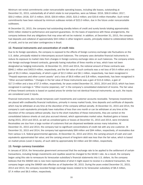Minimum net rental commitments under noncancelable operating leases, including idle leases, outstanding at December 31, 2015, substantially all of which relate to real properties, were as follows: 2016, \$56.9 million; 2017, \$50.2 million; 2018, \$37.5 million; 2019, \$30.8 million; 2020, \$23.2 million; and \$33.6 million thereafter. Such rental commitments have been reduced by minimum sublease rentals of \$22.0 million, due in the future under noncancelable subleases.

At December 31, 2015, the company had outstanding standby letters of credit and surety bonds totaling approximately \$255 million related to performance and payment guarantees. On the basis of experience with these arrangements, the company believes that any obligations that may arise will not be material. In addition, at December 31, 2015, the company had deposits and collateral of approximately \$44 million in other long-term assets, principally related to collateralized letters of credit, and to tax and labor contingencies in Brazil.

#### **12. Financial instruments and concentration of credit risks**

Due to its foreign operations, the company is exposed to the effects of foreign currency exchange rate fluctuations on the U.S. dollar, principally related to intercompany account balances. The company uses derivative financial instruments to reduce its exposure to market risks from changes in foreign currency exchange rates on such balances. The company enters into foreign exchange forward contracts, generally having maturities of three months or less, which have not been designated as hedging instruments. At December 31, 2015 and 2014, the notional amount of these contracts was \$940.1 million and \$403.9 million, respectively, and the fair value of such contracts was a net loss of \$4.4 million and a net gain of \$5.3 million, respectively, of which a gain of \$2.2 million and \$6.1 million, respectively, has been recognized in "Prepaid expenses and other current assets" and a loss of \$6.6 million and \$.8 million, respectively, has been recognized in "Other accrued liabilities." Changes in the fair value of these instruments was a gain of \$15.6 million, a gain of \$17.3 million and a loss of \$7.3 million, respectively, for years ended December 31, 2015, 2014 and 2013, which has been recognized in earnings in "Other income (expense), net" in the company's consolidated statement of income. The fair value of these forward contracts is based on quoted prices for similar but not identical financial instruments; as such, the inputs are considered Level 2 inputs.

Financial instruments also include temporary cash investments and customer accounts receivable. Temporary investments are placed with creditworthy financial institutions, primarily in money market funds, time deposits and certificate of deposits which may be withdrawn at any time at the discretion of the company without penalty. At December 31, 2015 and 2014, the company's cash equivalents principally have maturities of less than one month or can be withdrawn at any time at the discretion of the company without penalty. Due to the short maturities of these instruments, they are carried on the consolidated balance sheets at cost plus accrued interest, which approximates market value. Realized gains or losses during 2015, 2014 and 2013, as well as unrealized gains or losses at December 31, 2015 and 2014, were immaterial. Receivables are due from a large number of customers that are dispersed worldwide across many industries. At December 31, 2015 and 2014, the company had no significant concentrations of credit risk with any one customer. At December 31, 2015 and 2014, the company had approximately \$99 million and \$94 million, respectively, of receivables due from various U.S. federal governmental agencies. At December 31, 2015 and 2014, the carrying amount of cash and cash equivalents approximated fair value; and the carrying amount of long-term debt was less than the fair value, which is based on market prices (Level 2 inputs), of such debt by approximately \$3 million and \$9 million, respectively.

#### **13. Foreign currency translation**

In January of 2014, the Venezuelan government announced that the exchange rate to be applied to the settlement of certain transactions, including foreign investments and royalties would be changed to the SICAD I rate. As a result, the company began using this rate to remeasure its Venezuelan subsidiary's financial statements into U.S. dollars. As the company believes that the SIMADI rate is now more representative of what it might expect to receive in a dividend transaction, the company began using the SIMADI rate effective as of September 30, 2015. During the years ended December 31, 2015, 2014 and 2013, the company recorded foreign exchange losses related to its Venezuelan subsidiary of \$8.4 million, \$7.4 million and \$6.5 million, respectively.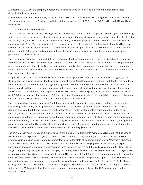At December 31, 2015, the company's operations in Venezuela had an immaterial amount of net monetary assets denominated in local currency.

During the years ended December 31, 2015, 2014 and 2013, the company recognized foreign exchange gains (losses) in "Other income (expense), net" in its consolidated statements of income of \$8.1 million, \$(7.0) million and \$10.4 million, respectively.

#### **14. Litigation and contingencies**

There are various lawsuits, claims, investigations and proceedings that have been brought or asserted against the company, which arise in the ordinary course of business, including actions with respect to commercial and government contracts, labor and employment, employee benefits, environmental matters, intellectual property, and non-income tax and employment compensation in Brazil. The company records a provision for these matters when it is both probable that a liability has been incurred and the amount of the loss can be reasonably estimated. Any provisions are reviewed at least quarterly and are adjusted to reflect the impact and status of settlements, rulings, advice of counsel and other information and events pertinent to a particular matter.

The company believes that it has valid defenses with respect to legal matters pending against it. Based on its experience, the company also believes that the damage amounts claimed in the lawsuits disclosed below are not a meaningful indicator of the company's potential liability. Litigation is inherently unpredictable, however, and it is possible that the company's results of operations or cash flow could be materially affected in any particular period by the resolution of one or more of the legal matters pending against it.

In April 2007, the Ministry of Justice of Belgium sued Unisys Belgium SA-NV, a Unisys subsidiary (Unisys Belgium), in the Court of First Instance of Brussels. The Belgian government had engaged the company to design and develop software for a computerized system to be used to manage the Belgian court system. The Belgian State terminated the contract and in its lawsuit has alleged that the termination was justified because Unisys Belgium failed to deliver satisfactory software in a timely manner. It claims damages of approximately 28 million Euros. Unisys Belgium filed its defense and counterclaim in April 2008, in the amount of approximately 18.5 million Euros. The company believes it has valid defenses to the claims and contends that the Belgian State's termination of the contract was unjustified.

The company's Brazilian operations, along with those of many other companies doing business in Brazil, are involved in various litigation matters, including numerous governmental assessments related to indirect and other taxes, as well as disputes associated with former employees and contract labor. The tax-related matters pertain to value added taxes, customs, duties, sales and other non-income related tax exposures. The labor-related matters include claims related to compensation matters. The company believes that appropriate accruals have been established for such matters based on information currently available. At December 31, 2015, excluding those matters that have been assessed by management as being remote as to the likelihood of ultimately resulting in a loss, the amount related to unreserved tax-related matters, inclusive of any related interest, is estimated to be up to approximately \$95 million.

The company has been involved in a matter arising from the sale of its Health Information Management (HIM) business to Molina Information Systems, LLC (Molina) under a 2010 Asset Purchase Agreement (APA). The HIM business provided system solutions and services to state governments, including the state of Idaho, for administering Medicaid programs. In August 2012, Molina sued the company in Federal District Court in Delaware alleging breaches of contract, negligent misrepresentation and intentional misrepresentation with respect to the APA and the Medicaid contract with Idaho. Molina sought compensatory damages, punitive damages, lost profits, indemnification, and declaratory relief. Molina alleged losses of approximately \$35 million in the complaint. In June 2013, the District Court granted the company's motion to dismiss the complaint and allowed Molina to replead certain claims and file an amended complaint. In August 2013, Molina filed an amended complaint. The company filed a motion to dismiss the amended complaint. On September 2, 2014, the District Court granted the company's motion to dismiss the negligent misrepresentation claim, but denied the company's motion with respect to Molina's intentional misrepresentation and breach of contract claims. The litigation continues on the remaining claims.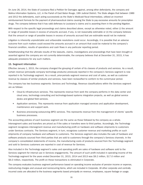On June 26, 2014, the State of Louisiana filed a Petition for Damages against, among other defendants, the company and Molina Information Systems, LLC, in the Parish of East Baton Rouge, 19th Judicial District. The State alleges that between 1989 and 2012 the defendants, each acting successively as the State's Medicaid fiscal intermediary, utilized an incorrect reimbursement formula for the payment of pharmaceutical claims causing the State to pay excessive amounts for prescription drugs. The company believes that it has valid defenses to Louisiana's claims and is asserting them in the pending litigation.

With respect to the specific legal proceedings and claims described above, except as otherwise noted, either (i) the amount or range of possible losses in excess of amounts accrued, if any, is not reasonably estimable or (ii) the company believes that the amount or range of possible losses in excess of amounts accrued that are estimable would not be material.

Litigation is inherently unpredictable and unfavorable resolutions could occur. Accordingly, it is possible that an adverse outcome from such matters could exceed the amounts accrued in an amount that could be material to the company's financial condition, results of operations and cash flows in any particular reporting period.

Notwithstanding that the ultimate results of the lawsuits, claims, investigations and proceedings that have been brought or asserted against the company are not currently determinable, the company believes that at December 31, 2015, it has adequate provisions for any such matters.

#### **15. Segment information**

Effective January 1, 2015, the company changed the grouping of certain of its classes of products and services. As a result, certain revenue (principally company technology products) previously reported in the company's Services segment is now reported in its Technology segment. As a result, prior-periods segment revenue and cost of sales, as well as customer revenue by classes of similar products and services, have been reclassified to conform to the current-year period.

The company has two business segments: Services and Technology. Revenue classifications within the Services segment are as follows:

- Cloud & infrastructure services. This represents revenue from work the company performs in the data center and cloud area, technology consulting and technology-based systems integration projects, as well as global service desks and global field services.
- Application services. This represents revenue from application managed services and application development, maintenance and support work.
- Business processing outsourcing (BPO) services. This represents revenue from the management of clients' specific business processes.

The accounting policies of each business segment are the same as those followed by the company as a whole. Intersegment sales and transfers are priced as if the sales or transfers were to third parties. Accordingly, the Technology segment recognizes intersegment revenue and manufacturing profit on hardware and software shipments to customers under Services contracts. The Services segment, in turn, recognizes customer revenue and marketing profits on such shipments of company hardware and software to customers. The Services segment also includes the sale of hardware and software products sourced from third parties that are sold to customers through the company's Services channels. In the company's consolidated statements of income, the manufacturing costs of products sourced from the Technology segment and sold to Services customers are reported in cost of revenue for Services.

Also included in the Technology segment's sales and operating profit are sales of hardware and software sold to the Services segment for internal use in Services engagements. The amount of such profit included in operating income of the Technology segment for the years ended December 31, 2015, 2014 and 2013 was \$9.2 million, \$17.0 million and \$6.0 million, respectively. The profit on these transactions is eliminated in Corporate.

The company evaluates business segment performance based on operating income exclusive of pension income or expense, restructuring charges and unusual and nonrecurring items, which are included in Corporate. All other corporate and centrally incurred costs are allocated to the business segments based principally on revenue, employees, square footage or usage.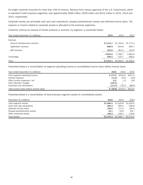No single customer accounts for more than 10% of revenue. Revenue from various agencies of the U.S. Government, which is reported in both business segments, was approximately \$569 million, \$529 million and \$512 million in 2015, 2014 and 2013, respectively.

Corporate assets are principally cash and cash equivalents, prepaid postretirement assets and deferred income taxes. The expense or income related to corporate assets is allocated to the business segments.

Customer revenue by classes of similar products or services, by segment, is presented below:

| Year ended December 31 (millions) | 2015      | 2014      | 2013      |
|-----------------------------------|-----------|-----------|-----------|
| Services                          |           |           |           |
| Cloud & infrastructure services   | \$1,513.1 | \$1,704.9 | \$1,772.4 |
| Application services              | 868.9     | 819.8     | 824.7     |
| <b>BPO</b> services               | 223.6     | 261.0     | 252.9     |
|                                   | 2,605.6   | 2,785.7   | 2,850.0   |
| Technology                        | 409.5     | 570.7     | 606.5     |
| Total                             | \$3,015.1 | \$3,356.4 | \$3,456.5 |

Presented below is a reconciliation of segment operating income to consolidated income (loss) before income taxes:

| Year ended December 31 (millions)       | 2015    | 2014                           | 2013    |
|-----------------------------------------|---------|--------------------------------|---------|
| Total segment operating income          | \$174.9 | \$233.6                        | \$307.5 |
| Interest expense                        | (11.9)  | (9.2)                          | (9.9)   |
| Other income (expense), net             | 8.2     | (.2)                           | 9.8     |
| Cost reduction charges                  | (118.5) | $\overline{\phantom{0}}$       |         |
| Corporate and eliminations              | (111.5) | (78.7)                         | (88.0)  |
| Total income (loss) before income taxes |         | $$$ (58.8) $$$ 145.5 $$$ 219.4 |         |

Presented below is a reconciliation of total business segment assets to consolidated assets:

| December 31 (millions)        | 2015      | 2014      | 2013      |
|-------------------------------|-----------|-----------|-----------|
| Total segment assets          | \$1,486.0 | \$1,533.8 | \$1,530.5 |
| Cash and cash equivalents     | 365.2     | 494.3     | 639.8     |
| Deferred income taxes         | 138.6     | 171.0     | 136.4     |
| Prepaid postretirement assets | 45.1      | 19.9      | 83.7      |
| Other corporate assets        | 108.3     | 129.7     | 119.6     |
| Total assets                  | \$2,143.2 | \$2,348.7 | \$2,510.0 |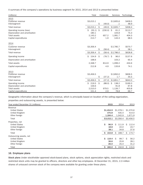A summary of the company's operations by business segment for 2015, 2014 and 2013 is presented below:

| (millions)                                                                      | Total                            |    | Corporate             | Services                 | Technology               |
|---------------------------------------------------------------------------------|----------------------------------|----|-----------------------|--------------------------|--------------------------|
| 2015<br>Customer revenue<br>Intersegment                                        | \$3,015.1                        | \$ | (49.0)                | \$2,605.6<br>$\cdot$ 1   | \$409.5<br>48.9          |
| Total revenue                                                                   | \$3,015.1                        | \$ | (49.0)                | \$2,605.7                | \$458.4                  |
| Operating income (loss)<br>Depreciation and amortization<br><b>Total assets</b> | Ś.<br>(55.1)<br>180.1<br>2,143.2 | -Ŝ | $(230.0)$ \$<br>657.2 | 61.2<br>104.8<br>1,081.7 | \$113.7<br>75.3<br>404.3 |
| Capital expenditures                                                            | 213.7                            |    | 1.9                   | 143.3                    | 68.5                     |
| 2014                                                                            |                                  |    |                       |                          |                          |
| Customer revenue<br>Intersegment                                                | \$3,356.4                        | Ş  | (58.4)                | \$2,785.7<br>.3          | \$570.7<br>58.1          |
| Total revenue                                                                   | \$3,356.4                        | \$ | (58.4)                | \$2,786.0                | \$628.8                  |
| Operating income                                                                | Ś.<br>154.9                      | \$ | (78.7)                | \$<br>96.0               | \$137.6                  |
| Depreciation and amortization                                                   | 168.6                            |    |                       | 103.2                    | 65.4                     |
| <b>Total assets</b>                                                             | 2,348.7                          |    | 814.9                 | 1,099.2                  | 434.6                    |
| Capital expenditures                                                            | 212.8                            |    | 4.9                   | 133.8                    | 74.1                     |
| 2013                                                                            |                                  |    |                       |                          |                          |
| Customer revenue                                                                | \$3,456.5                        |    |                       | \$2,850.0                | \$606.5                  |
| Intersegment                                                                    |                                  | \$ | (37.2)                | 1.7                      | 35.5                     |
| Total revenue                                                                   | \$3,456.5                        | \$ | (37.2)                | \$2,851.7                | \$642.0                  |
| Operating income                                                                | 219.5<br>\$                      | \$ | (88.0)                | Ŝ<br>138.2               | \$169.3                  |
| Depreciation and amortization                                                   | 159.6                            |    |                       | 91.8                     | 67.8                     |
| <b>Total assets</b>                                                             | 2,510.0                          |    | 979.5                 | 1,126.7                  | 403.8                    |
| Capital expenditures                                                            | 151.4                            |    | 2.9                   | 78.8                     | 69.7                     |

Geographic information about the company's revenue, which is principally based on location of the selling organization, properties and outsourcing assets, is presented below:

| Year ended December 31 (millions)                                                    | 2015                                       | 2014                                       | 2013                                      |
|--------------------------------------------------------------------------------------|--------------------------------------------|--------------------------------------------|-------------------------------------------|
| Revenue<br>United States<br>United Kingdom<br>Other foreign                          | \$1,454.9<br>375.8<br>1,184.4              | \$1,378.1<br>435.4<br>1,542.9              | \$1,370.6<br>414.0<br>1,671.9             |
| Total                                                                                | \$3,015.1                                  | \$3,356.4                                  | \$3,456.5                                 |
| Properties, net<br>United States<br>United Kingdom<br>Other foreign<br>Total         | Ś.<br>96.9<br>18.8<br>38.1<br>153.8<br>Ŝ.  | Ś.<br>111.9<br>22.0<br>34.8<br>\$<br>168.7 | Ŝ<br>112.4<br>24.7<br>37.6<br>174.7<br>Ŝ. |
| Outsourcing assets, net<br>United States<br>United Kingdom<br>Other foreign<br>Total | Ŝ.<br>119.4<br>36.6<br>26.0<br>182.0<br>Ŝ. | Ŝ<br>99.7<br>25.8<br>25.4<br>150.9<br>Ŝ.   | 56.2<br>S.<br>28.1<br>31.2<br>115.5<br>S  |

#### **16. Employee plans**

**Stock plans** Under stockholder approved stock-based plans, stock options, stock appreciation rights, restricted stock and restricted stock units may be granted to officers, directors and other key employees. At December 31, 2015, 2.3 million shares of unissued common stock of the company were available for granting under these plans.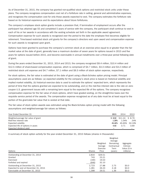As of December 31, 2015, the company has granted non-qualified stock options and restricted stock units under these plans. The company recognizes compensation cost net of a forfeiture rate in selling, general and administrative expenses, and recognizes the compensation cost for only those awards expected to vest. The company estimates the forfeiture rate based on its historical experience and its expectations about future forfeitures.

The company's employee stock option grants include a provision that, if termination of employment occurs after the participant has attained age 55 and completed 5 years of service with the company, the participant shall continue to vest in each of his or her awards in accordance with the vesting schedule set forth in the applicable award agreement. Compensation expense for such awards is recognized over the period to the date the employee first becomes eligible for retirement. Time-based restricted stock unit grants for the company's directors vest upon award and compensation expense for such awards is recognized upon grant.

Options have been granted to purchase the company's common stock at an exercise price equal to or greater than the fair market value at the date of grant, generally have a maximum duration of seven years for options issued in 2015 and five years for options issued before 2015, and become exercisable in annual installments over a three-year period following date of grant.

During the years ended December 31, 2015, 2014 and 2013, the company recognized \$9.4 million, \$10.4 million and \$12.5 million of share-based compensation expense, which is comprised of \$4.7 million, \$3.3 million and \$3.2 million of restricted stock unit expense and \$4.7 million, \$7.1 million and \$9.3 million of stock option expense, respectively.

For stock options, the fair value is estimated at the date of grant using a Black-Scholes option pricing model. Principal assumptions used are as follows: (a) expected volatility for the company's stock price is based on historical volatility and implied market volatility, (b) historical exercise data is used to estimate the options' expected term, which represents the period of time that the options granted are expected to be outstanding, and (c) the risk-free interest rate is the rate on zerocoupon U.S. government issues with a remaining term equal to the expected life of the options. The company recognizes compensation expense for the fair value of stock options, which have graded vesting, on the straight-line basis over the requisite service period of the awards. The compensation expense recognized as of any date must be at least equal to the portion of the grant-date fair value that is vested at that date.

The fair value of stock option awards was estimated using the Black-Scholes option pricing model with the following assumptions and weighted-average fair values as follows:

| Year Ended December 31               | 2015   | 2014                     | 2013          |
|--------------------------------------|--------|--------------------------|---------------|
| Weighted-average fair value of grant |        | $$8.92$ $$11.24$ $$8.79$ |               |
| Risk-free interest rate              | 1.28%  | 1.04%                    | .54%          |
| Expected volatility                  | 45.46% |                          | 45.65% 50.19% |
| Expected life of options in years    | 4.92   | 3.71                     | 3.69          |
| Expected dividend yield              |        |                          |               |

A summary of stock option activity for the year ended December 31, 2015 follows (shares in thousands):

| Options                               | <b>Shares</b> | Weighted-<br>Average<br>Exercise<br>Price | Weighted-<br>Average<br>Remaining<br>Contractual<br>Term<br>(years) | Aggregate<br><b>Intrinsic</b><br>Value (\$ in<br>millions) |
|---------------------------------------|---------------|-------------------------------------------|---------------------------------------------------------------------|------------------------------------------------------------|
| Outstanding at December 31, 2014      | 2.816         | \$29.51                                   |                                                                     |                                                            |
| Granted                               | 743           | 23.21                                     |                                                                     |                                                            |
| Exercised                             | (190)         | 19.53                                     |                                                                     |                                                            |
| Forfeited and expired                 | (646)         | 32.10                                     |                                                                     |                                                            |
| Outstanding at December 31, 2015      | 2.723         | 27.88                                     | 2.75                                                                | \$0.0                                                      |
| Expected to vest at December 31, 2015 | 1,281         | 26.23                                     | 4.18                                                                | \$0.0                                                      |
| Exercisable at December 31, 2015      | 1.398         | 29.51                                     | 1.36                                                                | \$0.0                                                      |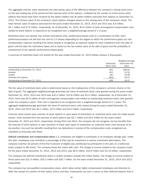The aggregate intrinsic value represents the total pretax value of the difference between the company's closing stock price on the last trading day of the period and the exercise price of the options, multiplied by the number of in-the-money stock options that would have been received by the option holders had all option holders exercised their options on December 31, 2015. The intrinsic value of the company's stock options changes based on the closing price of the company's stock. The total intrinsic value of options exercised for the years ended December 31, 2015, 2014 and 2013 was \$.6 million, \$4.7 million and \$7.9 million, respectively. As of December 31, 2015, \$4.0 million of total unrecognized compensation cost related to stock options is expected to be recognized over a weighted-average period of 1.9 years.

Restricted stock unit awards may contain time-based units, performance-based units or a combination of both. Each performance-based unit will vest into zero to 2.0 shares depending on the degree to which the performance goals are met. Compensation expense resulting from these awards is recognized as expense ratably for each installment from the date of grant until the date the restrictions lapse and is based on the fair market value at the date of grant and the probability of achievement of the specific performance-related goals.

A summary of restricted stock unit activity for the year ended December 31, 2015 follows (shares in thousands):

|                                  |                    | Weighted-Average |
|----------------------------------|--------------------|------------------|
|                                  | Restricted         | Grant-Date Fair  |
|                                  | <b>Stock Units</b> | Value            |
| Outstanding at December 31, 2014 | 354                | \$28.81          |
| Granted                          | 452                | 22.52            |
| Vested                           | (87)               | 23.85            |
| Forfeited and expired            | (250)              | 29.01            |
| Outstanding at December 31, 2015 | 469                | 23.57            |

The fair value of restricted stock units is determined based on the trading price of the company's common shares on the date of grant. The aggregate weighted-average grant-date fair value of restricted stock units granted during the years ended December 31, 2015, 2014 and 2013 was \$10.2 million, \$12.8 million and \$5.3 million, respectively. As of December 31, 2015, there was \$4.9 million of total unrecognized compensation cost related to outstanding restricted stock units granted under the company's plans. That cost is expected to be recognized over a weighted-average period of 2.1 years. The aggregate weighted-average grant-date fair value of restricted stock units vested during the years ended December 31, 2015, 2014 and 2013 was \$2.1 million, \$3.3 million and \$4.5 million, respectively.

Common stock issued upon exercise of stock options or upon lapse of restrictions on restricted stock units are newly issued shares. Cash received from the exercise of stock options was \$3.7 million and \$3.4 million for the years ended December 31, 2015 and 2014, respectively. During 2015 and 2014, the company did not recognize any tax benefits from the exercise of stock options or upon issuance of stock upon lapse of restrictions on restricted stock units because of its tax position. Any such tax benefits resulting from tax deductions in excess of the compensation costs recognized are classified as financing cash flows.

**Defined contribution and compensation plans** U.S. employees are eligible to participate in an employee savings plan. Under this plan, employees may contribute a percentage of their pay for investment in various investment alternatives. The company matches 50 percent of the first 6 percent of eligible pay contributed by participants to the plan on a before-tax basis (subject to IRS limits). The company funds the match with cash. The charge to income related to the company match for the years ended December 31, 2015, 2014 and 2013, was \$9.9 million, \$10.6 million and \$11.8 million, respectively.

The company has defined contribution plans in certain locations outside the United States. The charge to income related to these plans was \$21.4 million, \$25.2 million and \$26.7 million, for the years ended December 31, 2015, 2014 and 2013, respectively.

The company has non-qualified compensation plans, which allow certain highly compensated employees and directors to defer the receipt of a portion of their salary, bonus and fees. Participants can earn a return on their deferred balance that is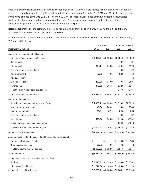based on hypothetical investments in various investment vehicles. Changes in the market value of these investments are reflected as an adjustment to the liability with an offset to expense. As of December 31, 2015 and 2014, the liability to the participants of these plans was \$12.6 million and \$12.1 million, respectively. These amounts reflect the accumulated participant deferrals and earnings thereon as of that date. The company makes no contributions to the deferred compensation plans and remains contingently liable to the participants.

**Retirement benefits** For the company's more significant defined benefit pension plans, including the U.S. and the UK, accrual of future benefits under the plans has ceased.

Retirement plans' funded status and amounts recognized in the company's consolidated balance sheets at December 31, 2015 and 2014 follow:

|                                                                   | U.S. Plans |                                                                                     | International Plans |            |
|-------------------------------------------------------------------|------------|-------------------------------------------------------------------------------------|---------------------|------------|
| December 31 (millions)                                            | 2015       | 2014                                                                                | 2015                | 2014       |
| Change in projected benefit obligation                            |            |                                                                                     |                     |            |
| Benefit obligation at beginning of year                           | \$5,665.5  | \$5,158.8                                                                           | \$3,354.9           | \$3,059.2  |
| Service cost                                                      |            |                                                                                     | 8.7                 | 8.4        |
| Interest cost                                                     | 224.1      | 248.3                                                                               | 94.1                | 117.9      |
| Plan participants' contributions                                  |            |                                                                                     | 2.5                 | 3.1        |
| Plan amendment                                                    | (2.7)      | (46.3)                                                                              | (32.3)              | (1.0)      |
| Plan curtailment                                                  |            |                                                                                     |                     | (.3)       |
| Actuarial loss (gain)                                             | (285.0)    | 670.0                                                                               | (79.5)              | 559.4      |
| Benefits paid                                                     | (370.5)    | (365.3)                                                                             | (112.8)             | (115.4)    |
| Foreign currency translation adjustments                          |            |                                                                                     | (247.8)             | (276.4)    |
| Benefit obligation at end of year                                 | \$5,231.4  | \$5,665.5                                                                           | \$2,987.8           | \$3,354.9  |
| Change in plan assets                                             |            |                                                                                     |                     |            |
| Fair value of plan assets at beginning of year                    | \$4,069.7  | \$4,048.0                                                                           | \$2,718.9           | \$2,681.8  |
| Actual return on plan assets                                      | (5.6)      | 299.9                                                                               | 18.6                | 278.0      |
| Employer contribution                                             | 65.8       | 87.1                                                                                | 82.5                | 96.3       |
| Plan participants' contributions                                  |            |                                                                                     | 2.5                 | 3.1        |
| Benefits paid                                                     | (370.5)    | (365.3)                                                                             | (112.8)             | (115.4)    |
| Foreign currency translation adjustments                          |            |                                                                                     | (212.9)             | (224.9)    |
| Fair value of plan assets at end of year                          | \$3,759.4  | \$4,069.7                                                                           | \$2,496.8           | \$2,718.9  |
| Funded status at end of year                                      |            | $\$(1,472.0) \$(1,595.8)$                                                           | \$ (491.0)          | \$ (636.0) |
| Amounts recognized in the consolidated balance sheets consist of: |            |                                                                                     |                     |            |
| Prepaid postretirement assets                                     | \$         | S                                                                                   | Ŝ<br>43.8           | 18.9<br>S  |
| Other accrued liabilities                                         | (6.8)      | (6.9)                                                                               | (.2)                | (.2)       |
| Long-term postretirement liabilities                              | (1,465.2)  | (1,588.9)                                                                           | (534.6)             | (654.7)    |
| Total funded status                                               |            | $\$(1,472.0) \$(1,595.8) \$(491.0) \$(636.0)$                                       |                     |            |
| Accumulated other comprehensive loss, net of tax                  |            |                                                                                     |                     |            |
| Net loss                                                          |            | $$2,816.2$ $$2,973.5$ $$1,018.6$ $$1,076.1$                                         |                     |            |
| Prior service (credit) cost                                       |            | $\frac{1}{5}$ (44.9) $\frac{1}{5}$ (44.5) $\frac{1}{5}$ (35.8) $\frac{1}{5}$ (12.8) |                     |            |
| Accumulated benefit obligation                                    |            | $$5,231.4$ $$5,665.5$ $$2,983.1$ $$3,349.3$                                         |                     |            |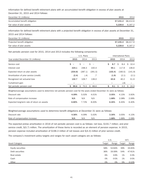Information for defined benefit retirement plans with an accumulated benefit obligation in excess of plan assets at December 31, 2015 and 2014 follows:

| December 31 (millions)         | 2015                | 2014    |
|--------------------------------|---------------------|---------|
| Accumulated benefit obligation | \$7.231.2 \$8.412.6 |         |
| Fair value of plan assets      | 5.228.6             | 6.167.2 |

Information for defined benefit retirement plans with a projected benefit obligation in excess of plan assets at December 31, 2015 and 2014 follows:

| December 31 (millions)       | 2015                | 2014    |
|------------------------------|---------------------|---------|
| Projected benefit obligation | \$7,235.4 \$8,417.9 |         |
| Fair value of plan assets    | 5.228.6             | 6.167.2 |

Net periodic pension cost for 2015, 2014 and 2013 includes the following components:

|                                        |                                | U.S. Plans             |                               |           | International Plans |                          |
|----------------------------------------|--------------------------------|------------------------|-------------------------------|-----------|---------------------|--------------------------|
| Year ended December 31 (millions)      | 2015                           | 2014                   | 2013                          | 2015      | 2014                | 2013                     |
| Service cost                           | S.<br>$\overline{\phantom{a}}$ | S<br>$\qquad \qquad -$ | S<br>$\overline{\phantom{m}}$ | S.<br>8.7 | 8.4<br>S.           | $S$ 10.4                 |
| Interest cost                          | 224.1                          | 248.3                  | 220.4                         | 94.1      | 117.9               | 106.6                    |
| Expected return on plan assets         | (254.8)                        | (287.1)                | (291.5)                       | (155.4)   | (160.5)             | (141.9)                  |
| Amortization of prior service (credit) | (2.4)                          | (.4)                   | .7                            | (1.9)     | (2.1)               | (2.1)                    |
| Recognized net actuarial loss          | 132.7                          | 109.7                  | 139.0                         | 63.6      | 40.2                | 51.9                     |
| Curtailment gain                       |                                |                        |                               |           | .6)                 | $\overline{\phantom{m}}$ |
| Net periodic pension cost              | 99.6<br>S.                     | S<br>70.5              | Ŝ.<br>68.6                    | 9.1       | S<br>3.3            | 24.9<br>S                |

Weighted-average assumptions used to determine net periodic pension cost for the years ended December 31 were as follows:

| Discount rate                               | 4.09% | 5.02% | 4.01% | 3.05% | 4.15% | 3.92% |
|---------------------------------------------|-------|-------|-------|-------|-------|-------|
| Rate of compensation increase               | N/A   | N/A   | N/A   | 1.68% | 2.08% | 2.06% |
| Expected long-term rate of return on assets | 6.80% | 7.72% | 8.00% | 6.45% | 6.45% | 6.40% |

Weighted-average assumptions used to determine benefit obligations at December 31 were as follows:

| Discount rate                 | 1.56% | .09%     | 5.02%    | 3.30% | 3.05% | 4.15% |
|-------------------------------|-------|----------|----------|-------|-------|-------|
| Rate of compensation increase | N/A   | $N/\ell$ | $N/\ell$ | 1.68% | .68%  | .08%  |

The expected pretax amortization in 2016 of net periodic pension cost is as follows: net loss, \$155.7 million; and prior service credit, \$(5.7) million. The amortization of these items is recorded as an element of pension expense. In 2015, pension expense included amortization of \$196.3 million of net losses and \$(4.3) million of prior service credit.

The company's investment policy targets and ranges for each asset category are as follows:

|                       | U.S.   |          | Int'l. |          |
|-----------------------|--------|----------|--------|----------|
| <b>Asset Category</b> | Target | Range    | Target | Range    |
| Equity securities     | 58%    | 52-64%   | 39%    | 33-45%   |
| Debt securities       | 36%    | 33-39%   | 54%    | 47-61%   |
| Real estate           | 6%     | $3 - 9%$ | 1%     | $0 - 3%$ |
| Cash                  | 0%     | $0 - 5%$ | 1%     | $0 - 5%$ |
| Other                 | 0%     | 0%       | 5%     | 0-10%    |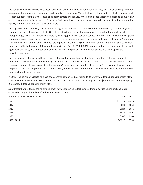The company periodically reviews its asset allocation, taking into consideration plan liabilities, local regulatory requirements, plan payment streams and then-current capital market assumptions. The actual asset allocation for each plan is monitored at least quarterly, relative to the established policy targets and ranges. If the actual asset allocation is close to or out of any of the ranges, a review is conducted. Rebalancing will occur toward the target allocation, with due consideration given to the liquidity of the investments and transaction costs.

The objectives of the company's investment strategies are as follows: (a) to provide a total return that, over the long term, increases the ratio of plan assets to liabilities by maximizing investment return on assets, at a level of risk deemed appropriate, (b) to maximize return on assets by investing primarily in equity securities in the U.S. and for international plans by investing in appropriate asset classes, subject to the constraints of each plan design and local regulations, (c) to diversify investments within asset classes to reduce the impact of losses in single investments, and (d) for the U.S. plan to invest in compliance with the Employee Retirement Income Security Act of 1974 (ERISA), as amended and any subsequent applicable regulations and laws, and for international plans to invest in a prudent manner in compliance with local applicable regulations and laws.

The company sets the expected long-term rate of return based on the expected long-term return of the various asset categories in which it invests. The company considered the current expectations for future returns and the actual historical returns of each asset class. Also, since the company's investment policy is to actively manage certain asset classes where the potential exists to outperform the broader market, the expected returns for those asset classes were adjusted to reflect the expected additional returns.

In 2016, the company expects to make cash contributions of \$139.3 million to its worldwide defined benefit pension plans, which is comprised of \$86.8 million primarily for non-U.S. defined benefit pension plans and \$52.5 million for the company's U.S. qualified defined benefit pension plan.

As of December 31, 2015, the following benefit payments, which reflect expected future service where applicable, are expected to be paid from the defined benefit pension plans:

| Year ending December 31 (millions) |         | U.S.  | Int'l.          |
|------------------------------------|---------|-------|-----------------|
| 2016                               |         |       | \$361.8\$3104.6 |
| 2017                               |         | 362.6 | 105.6           |
| 2018                               |         | 362.9 | 107.1           |
| 2019                               |         | 363.5 | 109.3           |
| 2020                               |         | 364.5 | 110.8           |
| 2021 - 2025                        | 1,814.7 |       | 573.9           |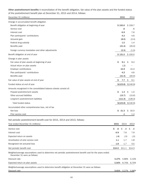**Other postretirement benefits** A reconciliation of the benefit obligation, fair value of the plan assets and the funded status of the postretirement benefit plan at December 31, 2015 and 2014, follows:

| December 31 (millions)                                                                                                                      |          | 2015      | 2014                |
|---------------------------------------------------------------------------------------------------------------------------------------------|----------|-----------|---------------------|
| Change in accumulated benefit obligation                                                                                                    |          |           |                     |
| Benefit obligation at beginning of year                                                                                                     |          | \$150.0   | \$159.7             |
| Service cost                                                                                                                                |          | .6        | .6                  |
| Interest cost                                                                                                                               |          | 6.9       | 7.6                 |
| Plan participants' contributions                                                                                                            |          | 4.2       | 4.6                 |
| Actuarial gain                                                                                                                              |          | (8.0)     | (2.4)               |
| Federal drug subsidy                                                                                                                        |          | 1.5       | 1.4                 |
| Benefits paid                                                                                                                               |          | (21.4)    | (20.0)              |
| Foreign currency translation and other adjustments                                                                                          |          | (2.3)     | (1.5)               |
| Benefit obligation at end of year                                                                                                           |          | \$131.5   | \$150.0             |
| Change in plan assets                                                                                                                       |          |           |                     |
| Fair value of plan assets at beginning of year                                                                                              | \$       | 9.1       | Ŝ<br>9.2            |
| Actual return on plan assets                                                                                                                |          | (.1)      |                     |
| Employer contributions                                                                                                                      |          | 15.9      | 15.3                |
| Plan participants' contributions                                                                                                            |          | 4.2       | 4.6                 |
| Benefits paid                                                                                                                               |          | (21.4)    | (20.0)              |
| Fair value of plan assets at end of year                                                                                                    | \$       | 7.7       | \$<br>9.1           |
| Funded status at end of year                                                                                                                |          | \$(123.8) | \$(140.9)           |
| Amounts recognized in the consolidated balance sheets consist of:                                                                           |          |           |                     |
| Prepaid postretirement assets                                                                                                               | Ś        | 1.3       | \$<br>1.0           |
| Other accrued liabilities                                                                                                                   |          | (13.7)    | (15.6)              |
| Long-term postretirement liabilities                                                                                                        |          | (111.4)   | (126.3)             |
| Total funded status                                                                                                                         |          |           | \$(123.8) \$(140.9) |
| Accumulated other comprehensive loss, net of tax                                                                                            |          |           |                     |
| Net loss                                                                                                                                    | \$       | 21.3      | \$<br>32.0          |
| Prior service cost                                                                                                                          |          | .1        | 1.2                 |
| Net periodic postretirement benefit cost for 2015, 2014 and 2013, follows:                                                                  |          |           |                     |
| Year ended December 31 (millions)                                                                                                           | 2015     | 2014      | 2013                |
| Service cost                                                                                                                                | \$<br>.6 | \$        | .6<br>\$<br>.6      |
| Interest cost                                                                                                                               | 6.9      | 7.6       | 7.9                 |
| Expected return on assets                                                                                                                   | (.4)     | (.5)      | (.5)                |
| Amortization of prior service cost                                                                                                          | 1.1      | 1.7       | 1.8                 |
| Recognized net actuarial loss                                                                                                               | 1.8      | 1.7       | 4.5                 |
| Net periodic benefit cost                                                                                                                   | \$10.0   | \$11.1    | \$14.3              |
| Weighted-average assumptions used to determine net periodic postretirement benefit cost for the years ended<br>December 31 were as follows: |          |           |                     |
| Discount rate                                                                                                                               | 5.27%    | 5.86%     | 5.15%               |
| Expected return on plan assets                                                                                                              | 5.50%    | 6.75%     | 6.75%               |
| Weighted-average assumptions used to determine benefit obligation at December 31 were as follows:                                           |          |           |                     |
| Discount rate                                                                                                                               |          |           | 5.61% 5.27% 5.86%   |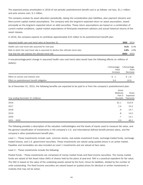The expected pretax amortization in 2016 of net periodic postretirement benefit cost is as follows: net loss, \$1.1 million; and prior service cost, \$.1 million.

The company reviews its asset allocation periodically, taking into consideration plan liabilities, plan payment streams and then-current capital market assumptions. The company sets the long-term expected return on asset assumption, based principally on the long-term expected return on debt securities. These return assumptions are based on a combination of current market conditions, capital market expectations of third-party investment advisors and actual historical returns of the asset classes.

In 2016, the company expects to contribute approximately \$15 million to its postretirement benefit plan.

| Assumed health care cost trend rates at December 31                               | 2015 2014 |              |
|-----------------------------------------------------------------------------------|-----------|--------------|
| Health care cost trend rate assumed for next year                                 |           | 6.1% $6.4\%$ |
| Rate to which the cost trend rate is assumed to decline (the ultimate trend rate) |           | 4.8% 4.8%    |
| Year that the rate reaches the ultimate trend rate                                | 2023 2023 |              |

A one-percentage-point change in assumed health care cost trend rates would have the following effects (in millions of dollars):

|                                             | 1-Percentage- | 1-Percentage- |
|---------------------------------------------|---------------|---------------|
|                                             | Point         | Point         |
|                                             | Increase      | Decrease      |
| Effect on service and interest cost         | S .1          | \$(.2)        |
| Effect on postretirement benefit obligation | 3.4           | (3.5)         |

As of December 31, 2015, the following benefits are expected to be paid to or from the company's postretirement plan:

|                                    | Gross<br>Medicare | Gross    |  |
|------------------------------------|-------------------|----------|--|
|                                    | Part D            | Expected |  |
| Year ending December 31 (millions) | Receipts          | Payments |  |
| 2016                               | \$1.1             | \$15.9   |  |
| 2017                               | 1.0               | 15.4     |  |
| 2018                               | .9                | 14.7     |  |
| 2019                               | .8                | 14.0     |  |
| 2020                               | .7                | 13.1     |  |
| $2021 - 2025$                      | 2.0               | 46.2     |  |

The following provides a description of the valuation methodologies and the levels of inputs used to measure fair value, and the general classification of investments in the company's U.S. and international defined benefit pension plans, and the company's other postretirement benefit plan.

Level 1 – These investments include cash, common stocks, real estate investment trusts, exchange traded funds, exchange traded futures, and U.S. government securities. These investments are valued using quoted prices in an active market. Payables and receivables are also included as Level 1 investments and are valued at face value.

Level 2 – These investments include the following:

Pooled Funds – These investments are comprised of money market funds and fixed income securities. The money market funds are valued at Net Asset Value (NAV) of shares held by the plans at year-end. NAV is a practical expedient for fair value. The NAV is based on the value of the underlying assets owned by the fund, minus its liabilities, divided by the number of units outstanding. The fixed income securities are valued based on quoted prices for identical or similar investments in markets that may not be active.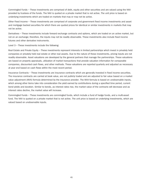Commingled Funds – These investments are comprised of debt, equity and other securities and are valued using the NAV provided by trustees of the funds. The NAV is quoted on a private market that is not active. The unit price is based on underlying investments which are traded on markets that may or may not be active.

Other Fixed Income – These investments are comprised of corporate and government fixed income investments and asset and mortgage backed securities for which there are quoted prices for identical or similar investments in markets that may not be active.

Derivatives – These investments include forward exchange contracts and options, which are traded on an active market, but not on an exchange; therefore, the inputs may not be readily observable. These investments also include fixed income futures and other derivative instruments.

Level 3 – These investments include the following:

Real Estate and Private Equity – These investments represent interests in limited partnerships which invest in privately held companies or privately held real estate or other real assets. Due to the nature of these investments, pricing inputs are not readily observable. Asset valuations are developed by the general partners that manage the partnerships. These valuations are based on property appraisals, utilization of market transactions that provide valuation information for comparable companies, discounted cash flows, and other methods. These valuations are reported quarterly and adjusted as necessary at year end based on cash flows within the most recent period.

Insurance Contracts – These investments are insurance contracts which are generally invested in fixed income securities. The insurance contracts are carried at book value, are not publicly traded and are adjusted to fair value based on a market value adjustment (MVA) formula determined by the insurance provider. The MVA formula is based on unobservable inputs, which among other items take into consideration the yield earned by contributions during a specified time period, current bond yields and duration. Similar to bonds, as interest rates rise, the market value of the contracts will decrease and as interest rates decline, the market value will increase.

Commingled Funds – These investments are commingled funds, which include a fund of hedge funds, and a multi-asset fund. The NAV is quoted on a private market that is not active. The unit price is based on underlying investments, which are valued based on unobservable inputs.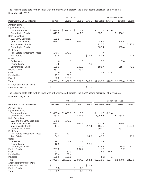The following table sets forth by level, within the fair value hierarchy, the plans' assets (liabilities) at fair value at December 31, 2015.

|                               | U.S. Plans |           |           |                    |         |    | <b>International Plans</b> |        |    |    |           |         |  |  |  |  |         |  |         |         |
|-------------------------------|------------|-----------|-----------|--------------------|---------|----|----------------------------|--------|----|----|-----------|---------|--|--|--|--|---------|--|---------|---------|
| December 31, 2015 (millions)  | Fair Value | Level 1   |           | Level <sub>2</sub> | Level 3 |    | Fair Value                 |        |    |    |           |         |  |  |  |  | Level 1 |  | Level 2 | Level 3 |
| Pension plans                 |            |           |           |                    |         |    |                            |        |    |    |           |         |  |  |  |  |         |  |         |         |
| <b>Equity Securities</b>      |            |           |           |                    |         |    |                            |        |    |    |           |         |  |  |  |  |         |  |         |         |
| <b>Common Stocks</b>          | \$1,686.4  | \$1,680.6 | \$.       | 5.8                |         | \$ | .6                         | \$     | .6 |    |           |         |  |  |  |  |         |  |         |         |
| Commingled Funds              | 411.9      |           |           | 411.9              |         |    | 956.1                      |        |    | \$ | 956.1     |         |  |  |  |  |         |  |         |         |
| <b>Debt Securities</b>        |            |           |           |                    |         |    |                            |        |    |    |           |         |  |  |  |  |         |  |         |         |
| U.S. Govt. Securities         | 162.2      | 162.2     |           |                    |         |    |                            |        |    |    |           |         |  |  |  |  |         |  |         |         |
| Other Fixed Income            | 974.7      |           |           | 974.7              |         |    | 248.5                      |        |    |    | 248.5     |         |  |  |  |  |         |  |         |         |
| Insurance Contracts           |            |           |           |                    |         |    | 120.6                      |        |    |    |           | \$120.6 |  |  |  |  |         |  |         |         |
| Commingled Funds              |            |           |           |                    |         |    | 905.4                      |        |    |    | 905.4     |         |  |  |  |  |         |  |         |         |
| <b>Real Estate</b>            |            |           |           |                    |         |    |                            |        |    |    |           |         |  |  |  |  |         |  |         |         |
| Real Estate Investment Trusts | 170.7      | 170.7     |           |                    |         |    | .7                         |        | .7 |    |           |         |  |  |  |  |         |  |         |         |
| Real Estate                   | 37.6       |           |           |                    | \$37.6  |    | 41.8                       |        |    |    |           | 41.8    |  |  |  |  |         |  |         |         |
| Other                         |            |           |           |                    |         |    |                            |        |    |    |           |         |  |  |  |  |         |  |         |         |
| <b>Derivatives</b>            | .8         | .3        |           | .5                 |         |    | 7.0                        |        |    |    | 7.0       |         |  |  |  |  |         |  |         |         |
| Private Equity                | 7.6        |           |           |                    | 7.6     |    |                            |        |    |    |           |         |  |  |  |  |         |  |         |         |
| Commingled Funds              | 105.3      |           |           | 105.3              |         |    | 188.7                      |        |    |    | 118.4     | 70.3    |  |  |  |  |         |  |         |         |
| Pooled Funds                  | 263.1      |           |           | 263.1              |         |    |                            |        |    |    |           |         |  |  |  |  |         |  |         |         |
| Cash                          | 1.9        | 1.9       |           |                    |         |    | 27.4                       | 27.4   |    |    |           |         |  |  |  |  |         |  |         |         |
| Receivables                   | 77.1       | 77.1      |           |                    |         |    |                            |        |    |    |           |         |  |  |  |  |         |  |         |         |
| Payables                      | (139.9)    | (139.9)   |           |                    |         |    |                            |        |    |    |           |         |  |  |  |  |         |  |         |         |
| Total                         | \$3,759.4  | \$1,952.9 | \$1,761.3 |                    | \$45.2  |    | \$2,496.8                  | \$28.7 |    |    | \$2,235.4 | \$232.7 |  |  |  |  |         |  |         |         |
| Other postretirement plans    |            |           |           |                    |         |    |                            |        |    |    |           |         |  |  |  |  |         |  |         |         |
| <b>Insurance Contracts</b>    | \$<br>7.7  |           |           |                    | \$7.7   |    |                            |        |    |    |           |         |  |  |  |  |         |  |         |         |

The following table sets forth by level, within the fair value hierarchy, the plans' assets (liabilities) at fair value at December 31, 2014.

|                               |            | U.S. Plans    |           | <b>International Plans</b> |            |         |           |                    |
|-------------------------------|------------|---------------|-----------|----------------------------|------------|---------|-----------|--------------------|
| December 31, 2014 (millions)  | Fair Value | Level 1       | Level 2   | Level 3                    | Fair Value | Level 1 | Level 2   | Level <sub>3</sub> |
| Pension plans                 |            |               |           |                            |            |         |           |                    |
| <b>Equity Securities</b>      |            |               |           |                            |            |         |           |                    |
| <b>Common Stocks</b>          | \$1,837.4  | $$1,831.6$ \$ | 5.8       |                            | Ŝ.<br>1.6  | \$1.6   |           |                    |
| Commingled Funds              | 461.6      |               | 461.6     |                            | 1,054.8    |         | \$1,054.8 |                    |
| <b>Debt Securities</b>        |            |               |           |                            |            |         |           |                    |
| U.S. and UK Govt. Securities  | 176.9      | 176.9         |           |                            |            |         |           |                    |
| Other Fixed Income            | 1,025.3    |               | 1,025.3   |                            | 330.4      |         | 330.4     |                    |
| Insurance Contracts           | 17.4       |               |           | \$17.4                     | 135.5      |         |           | \$135.5            |
| Commingled Funds              |            |               |           |                            | 991.1      |         | 991.1     |                    |
| <b>Real Estate</b>            |            |               |           |                            |            |         |           |                    |
| Real Estate Investment Trusts | 169.1      | 169.1         |           |                            | 1.3        | 1.3     |           |                    |
| <b>Real Estate</b>            | 34.2       |               |           | 34.2                       | 40.8       |         |           | 40.8               |
| Other                         |            |               |           |                            |            |         |           |                    |
| Derivatives                   | 18.2       | 5.9           | 12.3      |                            | 7.2        |         | 7.2       |                    |
| Private Equity                | 12.8       |               |           | 12.8                       |            |         |           |                    |
| Commingled Funds              | 102.1      |               | 102.1     |                            | 136.5      |         | 85.8      | 50.7               |
| Pooled Funds                  | 297.2      |               | 297.2     |                            | 1.2        |         | 1.2       |                    |
| Cash                          | (1.3)      | (1.3)         |           |                            | 18.6       | 18.6    |           |                    |
| Receivables                   | 77.4       | 77.4          |           |                            |            |         |           |                    |
| Payables                      | (158.6)    | (158.6)       |           |                            | (.1)       | (.1)    |           |                    |
| Total                         | \$4,069.7  | \$2,101.0     | \$1,904.3 | \$64.4                     | \$2,718.9  | \$21.4  | \$2,470.5 | \$227.0            |
| Other postretirement plans    |            |               |           |                            |            |         |           |                    |
| Insurance Contracts           | \$<br>7.3  |               |           | \$7.3                      |            |         |           |                    |
| Pooled Funds                  | 1.8        |               | \$<br>1.8 |                            |            |         |           |                    |
| Total                         | \$<br>9.1  |               | \$<br>1.8 | \$7.3                      |            |         |           |                    |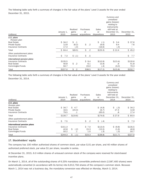The following table sets forth a summary of changes in the fair value of the plans' Level 3 assets for the year ended December 31, 2015.

| (millions)                  | January 1,<br>2015 | Realized<br>gains<br>(losses) | Purchases<br>or<br>acquisitions | Sales<br>or<br>dispositions | Currency and<br>unrealized<br>gains (losses)<br>relating to<br>instruments<br>still held at<br>December 31,<br>2015 | December 31,<br>2015 |
|-----------------------------|--------------------|-------------------------------|---------------------------------|-----------------------------|---------------------------------------------------------------------------------------------------------------------|----------------------|
| U.S. plans                  |                    |                               |                                 |                             |                                                                                                                     |                      |
| Pension plan                |                    |                               |                                 |                             |                                                                                                                     |                      |
| <b>Real Estate</b>          | \$34.2             | $\sim$ .1                     |                                 | \$<br>(.1)                  | \$<br>3.4                                                                                                           | \$37.6               |
| Private Equity              | 12.8               | (8.2)                         | \$<br>$\cdot$ .2                | (6.6)                       | 9.4                                                                                                                 | 7.6                  |
| Insurance Contracts         | 17.4               | (.4)                          |                                 | (16.6)                      | (.4)                                                                                                                |                      |
| Total                       | \$64.4             | \$(8.5)                       | \$<br>$.2\phantom{0}$           | $$^{(23.3)}$$               | \$12.4                                                                                                              | \$45.2               |
| Other postretirement plans  |                    |                               |                                 |                             |                                                                                                                     |                      |
| Insurance Contracts         | \$<br>7.3          | \$(.1)                        | \$<br>.5                        |                             |                                                                                                                     | \$<br>7.7            |
| International pension plans |                    |                               |                                 |                             |                                                                                                                     |                      |
| Insurance Contracts         | \$135.5            |                               | \$9.4                           | \$(10.9)                    | \$(13.4)                                                                                                            | \$120.6              |
| <b>Real Estate</b>          | 40.8               | \$<br>$\cdot$ .2              | 6.1                             | (5.9)                       | .6                                                                                                                  | 41.8                 |
| Commingled Funds            | 50.7               |                               | 23.0                            | (.4)                        | (3.0)                                                                                                               | 70.3                 |
| Total                       | \$227.0            | \$<br>.2                      | \$38.5                          | \$(17.2)                    | \$(15.8)                                                                                                            | \$232.7              |

The following table sets forth a summary of changes in the fair value of the plans' Level 3 assets for the year ended December 31, 2014.

| (millions)                                                                                   | January 1,<br>2014      | Realized<br>gains<br>(losses) | Purchases<br>or<br>acquisitions | Sales<br>or<br>dispositions | Currency and<br>unrealized<br>gains (losses)<br>relating to<br>instruments<br>still held at<br>December 31,<br>2014 | December 31,<br>2014    |
|----------------------------------------------------------------------------------------------|-------------------------|-------------------------------|---------------------------------|-----------------------------|---------------------------------------------------------------------------------------------------------------------|-------------------------|
| U.S. plans                                                                                   |                         |                               |                                 |                             |                                                                                                                     |                         |
| Pension plan<br><b>Real Estate</b><br>Private Equity<br>Insurance Contracts                  | \$34.7<br>16.5<br>79.5  | \$4.7<br>(24.4)<br>.1         |                                 | \$ (4.9)<br>(6.7)<br>(63.0) | \$<br>(.3)<br>27.4<br>.8                                                                                            | \$34.2<br>12.8<br>17.4  |
| Total                                                                                        | \$130.7                 | \$(19.6)                      |                                 | \$(74.6)                    | \$27.9                                                                                                              | \$64.4                  |
| Other postretirement plans<br>Insurance Contracts                                            | \$<br>7.5               |                               | \$<br>$.2\phantom{0}$           | \$<br>(.4)                  |                                                                                                                     | \$<br>7.3               |
| International pension plans<br>Insurance Contracts<br><b>Real Estate</b><br>Commingled Funds | \$151.3<br>42.8<br>50.2 | \$<br>(.2)<br>.1              | \$7.0<br>15.3<br>1.0            | \$(13.0)<br>(15.5)<br>(.3)  | \$ (9.8)<br>(1.6)<br>(.3)                                                                                           | \$135.5<br>40.8<br>50.7 |
| Total                                                                                        | \$244.3                 | \$<br>(.1)                    | \$23.3                          | $$^{(28.8)}$                | \$(11.7)                                                                                                            | \$227.0                 |

#### **17. Stockholders' equity**

The company has 100 million authorized shares of common stock, par value \$.01 per share, and 40 million shares of authorized preferred stock, par value \$1 per share, issuable in series.

At December 31, 2015, 6.0 million shares of unissued common stock of the company were reserved for stock-based incentive plans.

On March 1, 2014, all of the outstanding shares of 6.25% mandatory convertible preferred stock (2,587,400 shares) were automatically converted (in accordance with its terms) into 6,912,756 shares of the company's common stock. Because March 1, 2014 was not a business day, the mandatory conversion was effected on Monday, March 3, 2014.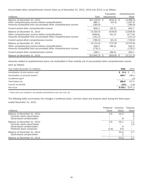Accumulated other comprehensive income (loss) as of December 31, 2015, 2014 and 2013, is as follows:

|                                                                                                                                                         |                                         | Translation            | Postretirement                   |
|---------------------------------------------------------------------------------------------------------------------------------------------------------|-----------------------------------------|------------------------|----------------------------------|
| (millions)                                                                                                                                              | Total                                   | Adjustments            | Plans                            |
| Balance at December 31, 2012<br>Other comprehensive income before reclassifications<br>Amounts reclassified from accumulated other comprehensive income | $$(4,133.6)$ \$<br>985.1<br>(184.9)     | $(634.3)$ \$<br>(42.5) | (3, 499.3)<br>1,027.6<br>(184.9) |
| Current period other comprehensive income                                                                                                               | 800.2                                   | (42.5)                 | 842.7                            |
| Balance at December 31, 2013                                                                                                                            | (3,333.4)                               | (676.8)                | (2,656.6)                        |
| Other comprehensive income before reclassifications<br>Amounts reclassified from accumulated other comprehensive income                                 | (638.8)<br>(141.2)                      | (61.0)                 | (577.8)<br>(141.2)               |
| Current period other comprehensive income                                                                                                               | (780.0)                                 | (61.0)                 | (719.0)                          |
| Balance at December 31, 2014                                                                                                                            | (4, 113.4)                              | (737.8)                | (3,375.6)                        |
| Other comprehensive income before reclassifications<br>Amounts reclassified from accumulated other comprehensive income                                 | 346.2<br>(178.1)                        | (96.0)                 | 442.2<br>(178.1)                 |
| Current period other comprehensive income                                                                                                               | 168.1                                   | (96.0)                 | 264.1                            |
| Balance at December 31, 2015                                                                                                                            | $\frac{\binom{6}{3}}{\binom{945.3}{5}}$ | $(833.8)$ \$           | (3, 111.5)                       |

Amounts related to postretirement plans not reclassified in their entirety out of accumulated other comprehensive income were as follows:

| Year ended December 31 (millions)   | 2015        | 2014              |
|-------------------------------------|-------------|-------------------|
| Amortization of prior service cost* | \$ (3.1) \$ | (.7)              |
| Amortization of actuarial losses*   | 189.7       | 148.3             |
| Curtailment gain*                   | -           | (.6)              |
| Total before tax                    | 186.6       | 147.0             |
| Income tax benefit                  | (8.5)       | (5.8)             |
| Net of tax                          |             | $$178.1$ $$141.2$ |

*\* These items are included in net periodic postretirement cost (see note 16).*

The following table summarizes the changes in preferred stock, common stock and treasury stock during the three years ended December 31, 2015:

|                                                                                                                    | Preferred    | Common            | Treasury       |
|--------------------------------------------------------------------------------------------------------------------|--------------|-------------------|----------------|
| (millions)                                                                                                         | <b>Stock</b> | Stock             | <b>Stock</b>   |
| Balance at December 31, 2012<br>Common stock repurchases<br>Stock-based compensation                               | 2.6          | 44.3<br>.8        | .4<br>.6<br>.1 |
| Balance at December 31, 2013<br>Common stock repurchases<br>Stock-based compensation<br>Preferred stock conversion | 2.6<br>(2.6) | 45.1<br>.4<br>6.9 | 1.1<br>1.6     |
| Balance at December 31, 2014<br>Stock-based compensation                                                           |              | 52.4              | 2.7            |
| Balance at December 31, 2015                                                                                       |              | 52.6              | 2.7            |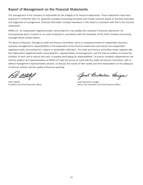### **Report of Management on the Financial Statements**

The management of the company is responsible for the integrity of its financial statements. These statements have been prepared in conformity with U.S. generally accepted accounting principles and include amounts based on the best estimates and judgments of management. Financial information included elsewhere in this report is consistent with that in the financial statements.

KPMG LLP, an independent registered public accounting firm, has audited the company's financial statements. Its accompanying report is based on an audit conducted in accordance with the standards of the Public Company Accounting Oversight Board (United States).

The Board of Directors, through its Audit and Finance Committee, which is composed entirely of independent directors, oversees management's responsibilities in the preparation of the financial statements and selects the independent registered public accounting firm, subject to stockholder ratification. The Audit and Finance Committee meets regularly with the independent registered public accounting firm, representatives of management, and the internal auditors to review the activities of each and to assure that each is properly discharging its responsibilities. To ensure complete independence, the internal auditors and representatives of KPMG LLP have full access to meet with the Audit and Finance Committee, with or without management representatives present, to discuss the results of their audits and their observations on the adequacy of internal controls and the quality of financial reporting.

Peter Altabef Janet Brutschea Haugen

Spret Brutschea Haugen

President and Chief Executive Officer Senior Vice President and Chief Financial Officer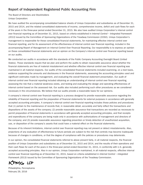### **Report of Independent Registered Public Accounting Firm**

The Board of Directors and Stockholders Unisys Corporation:

We have audited the accompanying consolidated balance sheets of Unisys Corporation and subsidiaries as of December 31, 2015 and 2014, and the related consolidated statements of income, comprehensive income, deficit and cash flows for each of the years in the three-year period ended December 31, 2015. We also have audited Unisys Corporation's internal control over financial reporting as of December 31, 2015, based on criteria established in *Internal Control – Integrated Framework (2013)* issued by the Committee of Sponsoring Organizations of the Treadway Commission (COSO). Unisys Corporation's management is responsible for these consolidated financial statements, for maintaining effective internal control over financial reporting, and for its assessment of the effectiveness of internal control over financial reporting, included in the accompanying Report of Management on Internal Control Over Financial Reporting. Our responsibility is to express an opinion on these consolidated financial statements and an opinion on the Company's internal control over financial reporting based on our audits.

We conducted our audits in accordance with the standards of the Public Company Accounting Oversight Board (United States). Those standards require that we plan and perform the audits to obtain reasonable assurance about whether the financial statements are free of material misstatement and whether effective internal control over financial reporting was maintained in all material respects. Our audits of the consolidated financial statements included examining, on a test basis, evidence supporting the amounts and disclosures in the financial statements, assessing the accounting principles used and significant estimates made by management, and evaluating the overall financial statement presentation. Our audit of internal control over financial reporting included obtaining an understanding of internal control over financial reporting, assessing the risk that a material weakness exists, and testing and evaluating the design and operating effectiveness of internal control based on the assessed risk. Our audits also included performing such other procedures as we considered necessary in the circumstances. We believe that our audits provide a reasonable basis for our opinions.

A company's internal control over financial reporting is a process designed to provide reasonable assurance regarding the reliability of financial reporting and the preparation of financial statements for external purposes in accordance with generally accepted accounting principles. A company's internal control over financial reporting includes those policies and procedures that (1) pertain to the maintenance of records that, in reasonable detail, accurately and fairly reflect the transactions and dispositions of the assets of the company; (2) provide reasonable assurance that transactions are recorded as necessary to permit preparation of financial statements in accordance with generally accepted accounting principles, and that receipts and expenditures of the company are being made only in accordance with authorizations of management and directors of the company; and (3) provide reasonable assurance regarding prevention or timely detection of unauthorized acquisition, use, or disposition of the company's assets that could have a material effect on the financial statements.

Because of its inherent limitations, internal control over financial reporting may not prevent or detect misstatements. Also, projections of any evaluation of effectiveness to future periods are subject to the risk that controls may become inadequate because of changes in conditions, or that the degree of compliance with the policies or procedures may deteriorate.

In our opinion, the consolidated financial statements referred to above present fairly, in all material respects, the financial position of Unisys Corporation and subsidiaries as of December 31, 2015 and 2014, and the results of their operations and their cash flows for each of the years in the three-year period ended December 31, 2015, in conformity with U.S. generally accepted accounting principles. Also in our opinion, Unisys Corporation maintained, in all material respects, effective internal control over financial reporting as of December 31, 2015, based on criteria established in *Internal Control – Integrated Framework (2013)* issued by the Committee of Sponsoring Organizations of the Treadway Commission.

PMG LLP

Philadelphia, Pennsylvania February 29, 2016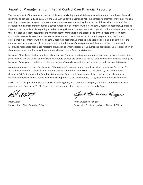### **Report of Management on Internal Control Over Financial Reporting**

The management of the company is responsible for establishing and maintaining adequate internal control over financial reporting, as defined in Rules 13a-15(f) and 15d-15(f) under the Exchange Act. The company's internal control over financial reporting is a process designed to provide reasonable assurance regarding the reliability of financial reporting and the preparation of financial statements for external purposes in accordance with U.S. generally accepted accounting principles. Internal control over financial reporting includes those policies and procedures that (1) pertain to the maintenance of records that in reasonable detail accurately and fairly reflect the transactions and dispositions of the assets of the company; (2) provide reasonable assurance that transactions are recorded as necessary to permit preparation of the financial statements in accordance with U.S. generally accepted accounting principles, and that receipts and expenditures of the company are being made only in accordance with authorizations of management and directors of the company; and (3) provide reasonable assurance regarding prevention or timely detection of unauthorized acquisition, use or disposition of the company's assets that could have a material effect on the financial statements.

Because of its inherent limitations, internal control over financial reporting may not prevent or detect misstatements. Also, projections of any evaluation of effectiveness to future periods are subject to the risk that controls may become inadequate because of changes in conditions, or that the degree of compliance with the policies and procedures may deteriorate.

Management assessed the effectiveness of the company's internal control over financial reporting as of December 31, 2015, based on criteria established in *Internal Control – Integrated Framework (2013)* issued by the Committee of Sponsoring Organizations of the Treadway Commission. Based on this assessment, we concluded that the company maintained effective internal control over financial reporting as of December 31, 2015, based on the specified criteria.

KPMG LLP, an independent registered public accounting firm, has audited the company's internal control over financial reporting as of December 31, 2015, as stated in their report that appears on the preceding page.

Peter Altabef **Value 2018 Janet Brutschea Haugen** 

Spret Brutschea Haugen

President and Chief Executive Officer Senior Vice President and Chief Financial Officer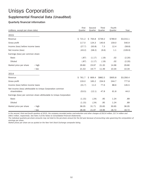### **Supplemental Financial Data (Unaudited)**

#### **Quarterly financial information**

|                                                                             | First   | Second  | Third   | Fourth  |           |
|-----------------------------------------------------------------------------|---------|---------|---------|---------|-----------|
| (millions, except per share data)                                           | Quarter | Quarter | Quarter | Quarter | Year      |
| 2015                                                                        |         |         |         |         |           |
| Revenue                                                                     | \$721.2 | \$764.8 | \$739.2 | \$789.9 | \$3,015.1 |
| Gross profit                                                                | 117.0   | 124.3   | 140.6   | 159.0   | 540.9     |
| Income (loss) before income taxes                                           | (27.7)  | (50.8)  | 7.3     | 12.4    | (58.8)    |
| Net income (loss)                                                           | (43.2)  | (58.2)  | (9.6)   | 1.1     | (109.9)   |
| Earnings (loss) per common share                                            |         |         |         |         |           |
| <b>Basic</b>                                                                | (.87)   | (1.17)  | (.19)   | .02     | (2.20)    |
| Diluted                                                                     | (.87)   | (1.17)  | (.19)   | .02     | (2.20)    |
| Market price per share<br>– high                                            | 29.80   | 23.97   | 21.20   | 14.96   | 29.80     |
| $-$ low                                                                     | 21.53   | 19.77   | 11.49   | 10.34   | 10.34     |
| 2014                                                                        |         |         |         |         |           |
| Revenue                                                                     | \$761.7 | \$806.4 | \$882.5 | \$905.8 | \$3,356.4 |
| Gross profit                                                                | 133.0   | 165.2   | 234.9   | 244.7   | 777.8     |
| Income (loss) before income taxes                                           | (31.7)  | 11.0    | 77.6    | 88.6    | 145.5     |
| Net income (loss) attributable to Unisys Corporation common<br>shareholders | (53.5)  | (12.1)  | 47.8    | 61.8    | 44.0      |
| Earnings (loss) per common share attributable to Unisys Corporation         |         |         |         |         |           |
| <b>Basic</b>                                                                | (1.15)  | (.24)   | .95     | 1.24    | .89       |
| Diluted                                                                     | (1.15)  | (.24)   | .95     | 1.24    | .89       |
| Market price per share<br>– high                                            | 36.05   | 31.71   | 25.65   | 30.65   | 36.05     |
| $-$ low                                                                     | 28.46   | 21.97   | 19.96   | 18.72   | 18.72     |

*In the second, third and fourth quarters of 2015, the company recorded pretax cost-reduction and other charges of \$52.6 million, \$17.4 million and \$48.5 million, respectively. See Note 3 of the Notes to Consolidated Financial Statements.*

*The individual quarterly per-share amounts may not total to the per-share amount for the full year because of accounting rules governing the computation of earnings per share.*

*Market prices per share are as quoted on the New York Stock Exchange composite listing.*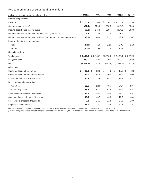#### **Five-year summary of selected financial data**

| (dollars in millions, except per share data)                             | $2015^{(1)}$ | 2014       | 2013       | 2012(2)    | $2011^{(2)}$ |
|--------------------------------------------------------------------------|--------------|------------|------------|------------|--------------|
| Results of operations                                                    |              |            |            |            |              |
| Revenue                                                                  | \$3,015.1    | \$3,356.4  | \$3,456.5  | \$3,706.4  | \$3,853.8    |
| Operating income (loss)                                                  | (55.1)       | 154.9      | 219.5      | 319.2      | 324.6        |
| Income (loss) before income taxes                                        | (58.8)       | 145.5      | 219.4      | 254.1      | 206.0        |
| Net income (loss) attributable to noncontrolling interests               | 6.7          | 12.6       | 11.6       | 11.2       | 7.2          |
| Net income (loss) attributable to Unisys Corporation common shareholders | (109.9)      | 44.0       | 92.3       | 129.4      | 120.5        |
| Earnings (loss) per common share                                         |              |            |            |            |              |
| <b>Basic</b>                                                             | (2.20)       | .89        | 2.10       | 2.95       | 2.79         |
| <b>Diluted</b>                                                           | (2.20)       | .89        | 2.08       | 2.84       | 2.71         |
| <b>Financial position</b>                                                |              |            |            |            |              |
| Total assets                                                             | \$2,143.2    | \$2,348.7  | \$2,510.0  | \$2,420.4  | \$2,612.2    |
| Long-term debt                                                           | 235.5        | 222.2      | 210.0      | 210.0      | 358.8        |
| Deficit                                                                  | (1,378.6)    | (1,452.4)  | (663.9)    | (1,588.7)  | (1,311.0)    |
| Other data                                                               |              |            |            |            |              |
| Capital additions of properties                                          | \$<br>49.6   | 53.3<br>Ŝ. | Ŝ.<br>47.2 | 40.1<br>Ŝ. | Ŝ.<br>42.2   |
| Capital additions of outsourcing assets                                  | 102.0        | 85.9       | 39.9       | 36.1       | 40.5         |
| Investment in marketable software                                        | 62.1         | 73.6       | 64.3       | 56.4       | 51.7         |
| Depreciation and amortization                                            |              |            |            |            |              |
| Properties                                                               | 57.5         | 52.0       | 46.7       | 54.7       | 66.4         |
| Outsourcing assets                                                       | 55.7         | 58.1       | 53.5       | 57.9       | 62.7         |
| Amortization of marketable software                                      | 66.9         | 58.5       | 59.4       | 62.0       | 65.7         |
| Common shares outstanding (millions)                                     | 49.9         | 49.7       | 44.0       | 44.0       | 43.4         |
| Stockholders of record (thousands)                                       | 6.2          | 11.1       | 11.8       | 17.0       | 18.6         |
| Employees (thousands)                                                    | 23.0         | 23.2       | 22.8       | 22.8       | 22.7         |

(*1) Includes pretax cost- reduction and other charges of \$118.5 million. See Note 3 of the Notes to Consolidated Financial Statements.*

*(2) Includes pretax losses on debt extinguishment of \$30.6 million and \$85.2 million for the years ended December 31, 2012 and 2011, respectively.*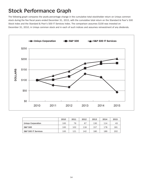# **Stock Performance Graph**

The following graph compares the yearly percentage change in the cumulative total stockholder return on Unisys common stock during the five fiscal years ended December 31, 2015, with the cumulative total return on the Standard & Poor's 500 Stock Index and the Standard & Poor's 500 IT Services Index. The comparison assumes \$100 was invested on December 31, 2010, in Unisys common stock and in each of such indices and assumes reinvestment of any dividends.



|                                | 2010 | 2011 | 2012 | 2013 | 2014 | 2015 |
|--------------------------------|------|------|------|------|------|------|
| Unisys Corporation             | 100  | 76   | 67   | 130  | 114  | 43   |
| <b>S&amp;P 500</b>             | 100  | 102  | 118  | 157  | 178  | 181  |
| <b>S&amp;P 500 IT Services</b> | 100  | 121  | 142  | 180  | 189  | 202  |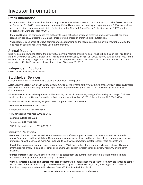#### **Stock Information**

- **Common Stock:** The company has the authority to issue 100 million shares of common stock, par value \$0.01 per share. At December 31, 2015, there were approximately 49.9 million shares outstanding and approximately 6,200 stockholders of record. Unisys common stock is listed for trading on the New York Stock Exchange (trading symbol "UIS") and the London Stock Exchange (code "USY").
- **Preferred Stock:** The company has the authority to issue 40 million shares of preferred stock, par value \$1 per share, issuable in series. At December 31, 2015, there were no shares of preferred stock outstanding.
- **Voting Rights:** Each share of Unisys common stock outstanding on the record date for the annual meeting is entitled to one vote on each matter to be voted upon at the meeting.

#### **Annual Meeting**

Stockholders are invited to attend the Unisys 2016 Annual Meeting of Stockholders, which will be held at the Philadelphia Marriott Downtown at 1201 Market Street, Philadelphia, Pennsylvania, on April 28, 2016, at 8:00 a.m. Eastern Time. Formal notice of the meeting, along with the proxy statement and proxy materials, was mailed or otherwise made available on or about March 18, 2016, to stockholders of record as of February 29, 2016.

#### **Independent Auditors**

KPMG LLP Philadelphia, Pennsylvania

#### **Stockholder Services**

Computershare Inc. is the company's stock transfer agent and registrar.

*Note: Effective October 23, 2009, Unisys declared a one-for-ten reverse split of its common stock. Pre-split stock certificates must be submitted for exchange into post-split shares. If you are holding pre-split stock certificates, please contact Computershare.*

Administrative inquiries relating to stockholder records, lost stock certificates, change of ownership or change of address should be directed to: Unisys Corporation, c/o Computershare, P.O. Box 30170, College Station, TX 77842-3170.

**Account Access & Share Selling Program:** www.computershare.com/investor

**Telephone within the U.S. and Canada:**

- Telephone toll free: 866-405-6564
- TDD for hearing impaired: 800-231-5469

**Telephone outside the U.S.:**

- Telephone: 201-680-6578
- TDD for hearing impaired: 201-680-6610

#### **Investor Relations**

- **Web Site:** The Unisys Investor Web site at www.unisys.com/investor provides news and events as well as quarterly earnings releases and financial data, Unisys stock price and tools, officer and board biographies, corporate governance materials, annual reports and more. We invite you to visit www.unisys.com/investor to learn more about Unisys.
- **Email:** Unisys provides investor-related news releases, SEC filings, webcast and event details, and daily/weekly stock information via email. To sign up for email or to amend your current investor e-mail selection, visit www.unisys.com/ investor.
- **Printed Materials:** Visit www.unisys.com/investor to select from the current list of printed materials offered. Printed materials also may be requested by calling 215-986-5777.
- **General Investor Inquiries and Correspondence:** Investors with general questions about the company are invited to contact Unisys Investor Relations by calling 215-986-6999, emailing us at investor@unisys.com, or writing to us at: Investor Relations, Unisys Corporation, 801 Lakeview Drive STE 100, Blue Bell, PA 19422.

**For more information, visit www.unisys.com/investor.**